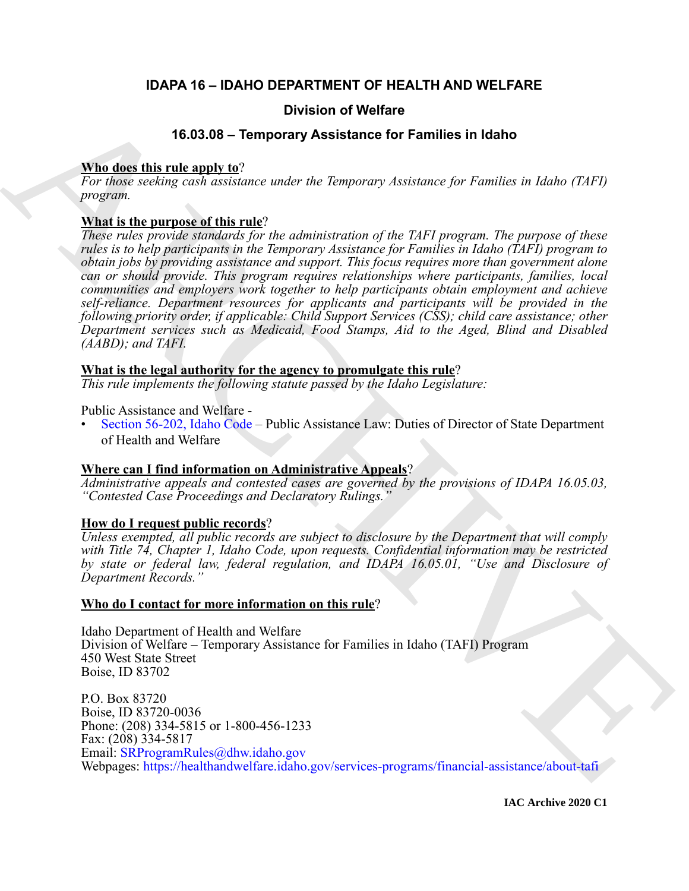### **IDAPA 16 – IDAHO DEPARTMENT OF HEALTH AND WELFARE**

### **Division of Welfare**

### **16.03.08 – Temporary Assistance for Families in Idaho**

### **Who does this rule apply to**?

*For those seeking cash assistance under the Temporary Assistance for Families in Idaho (TAFI) program.*

### **What is the purpose of this rule**?

**Division of Welfare<br>
16.33.08 - Temporary Assistance for Families in Idaho**<br>
The dose various candidation of the material state of the Families in Idaho (TaFi)<br> *Proposes various can be existence today of the adventurery These rules provide standards for the administration of the TAFI program. The purpose of these rules is to help participants in the Temporary Assistance for Families in Idaho (TAFI) program to obtain jobs by providing assistance and support. This focus requires more than government alone can or should provide. This program requires relationships where participants, families, local communities and employers work together to help participants obtain employment and achieve self-reliance. Department resources for applicants and participants will be provided in the following priority order, if applicable: Child Support Services (CSS); child care assistance; other Department services such as Medicaid, Food Stamps, Aid to the Aged, Blind and Disabled (AABD); and TAFI.*

### **What is the legal authority for the agency to promulgate this rule**?

*This rule implements the following statute passed by the Idaho Legislature:*

Public Assistance and Welfare -

• Section 56-202, Idaho Code – Public Assistance Law: Duties of Director of State Department of Health and Welfare

### **Where can I find information on Administrative Appeals**?

*Administrative appeals and contested cases are governed by the provisions of IDAPA 16.05.03, "Contested Case Proceedings and Declaratory Rulings."*

### **How do I request public records**?

*Unless exempted, all public records are subject to disclosure by the Department that will comply with Title 74, Chapter 1, Idaho Code, upon requests. Confidential information may be restricted by state or federal law, federal regulation, and IDAPA 16.05.01, "Use and Disclosure of Department Records."*

### **Who do I contact for more information on this rule**?

Idaho Department of Health and Welfare Division of Welfare – Temporary Assistance for Families in Idaho (TAFI) Program 450 West State Street Boise, ID 83702

P.O. Box 83720 Boise, ID 83720-0036 Phone: (208) 334-5815 or 1-800-456-1233 Fax: (208) 334-5817 Email: SRProgramRules@dhw.idaho.gov Webpages: https://healthandwelfare.idaho.gov/services-programs/financial-assistance/about-tafi

**IAC Archive 2020 C1**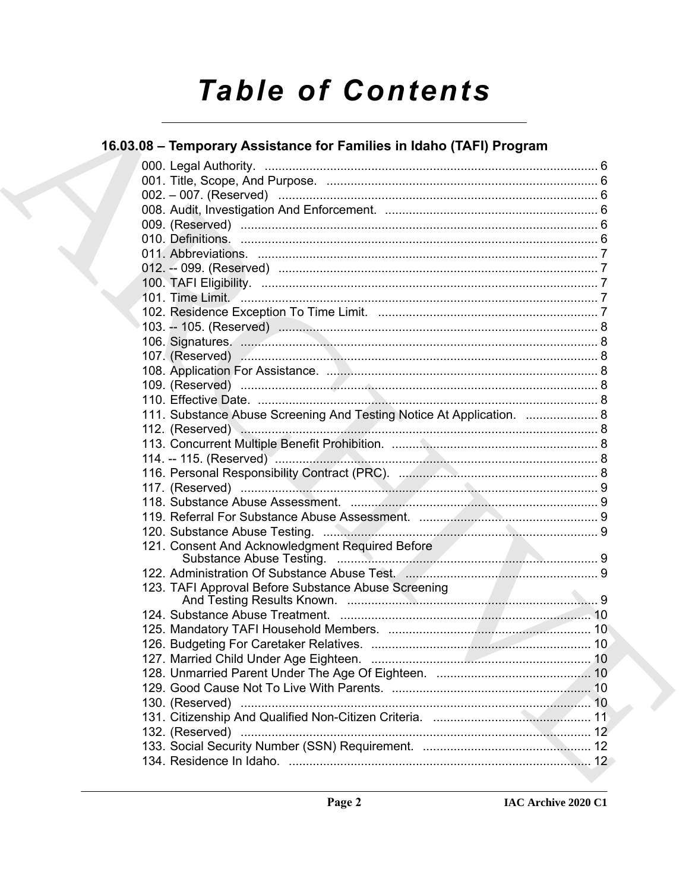# **Table of Contents**

## 16.03.08 - Temporary Assistance for Families in Idaho (TAFI) Program

|  | 111. Substance Abuse Screening And Testing Notice At Application.  8 |  |
|--|----------------------------------------------------------------------|--|
|  |                                                                      |  |
|  |                                                                      |  |
|  |                                                                      |  |
|  |                                                                      |  |
|  |                                                                      |  |
|  |                                                                      |  |
|  |                                                                      |  |
|  |                                                                      |  |
|  | 121. Consent And Acknowledgment Required Before                      |  |
|  |                                                                      |  |
|  |                                                                      |  |
|  | 123. TAFI Approval Before Substance Abuse Screening                  |  |
|  |                                                                      |  |
|  |                                                                      |  |
|  |                                                                      |  |
|  |                                                                      |  |
|  |                                                                      |  |
|  |                                                                      |  |
|  |                                                                      |  |
|  |                                                                      |  |
|  |                                                                      |  |
|  |                                                                      |  |
|  |                                                                      |  |
|  |                                                                      |  |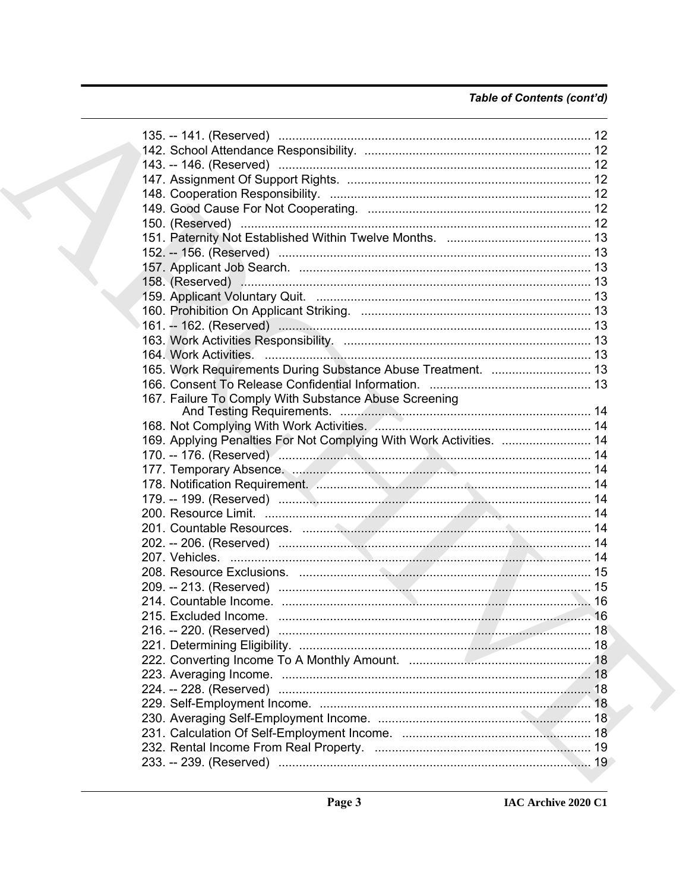### Table of Contents (cont'd)

| 150. (Reserved) …………………………………………………………………………………… 12                 |  |
|---------------------------------------------------------------------|--|
|                                                                     |  |
|                                                                     |  |
|                                                                     |  |
|                                                                     |  |
|                                                                     |  |
|                                                                     |  |
|                                                                     |  |
|                                                                     |  |
|                                                                     |  |
| 165. Work Requirements During Substance Abuse Treatment.  13        |  |
|                                                                     |  |
| 167. Failure To Comply With Substance Abuse Screening               |  |
|                                                                     |  |
|                                                                     |  |
| 169. Applying Penalties For Not Complying With Work Activities.  14 |  |
|                                                                     |  |
|                                                                     |  |
|                                                                     |  |
|                                                                     |  |
|                                                                     |  |
|                                                                     |  |
|                                                                     |  |
|                                                                     |  |
|                                                                     |  |
|                                                                     |  |
|                                                                     |  |
|                                                                     |  |
|                                                                     |  |
|                                                                     |  |
|                                                                     |  |
|                                                                     |  |
|                                                                     |  |
|                                                                     |  |
|                                                                     |  |
|                                                                     |  |
|                                                                     |  |
|                                                                     |  |
|                                                                     |  |
|                                                                     |  |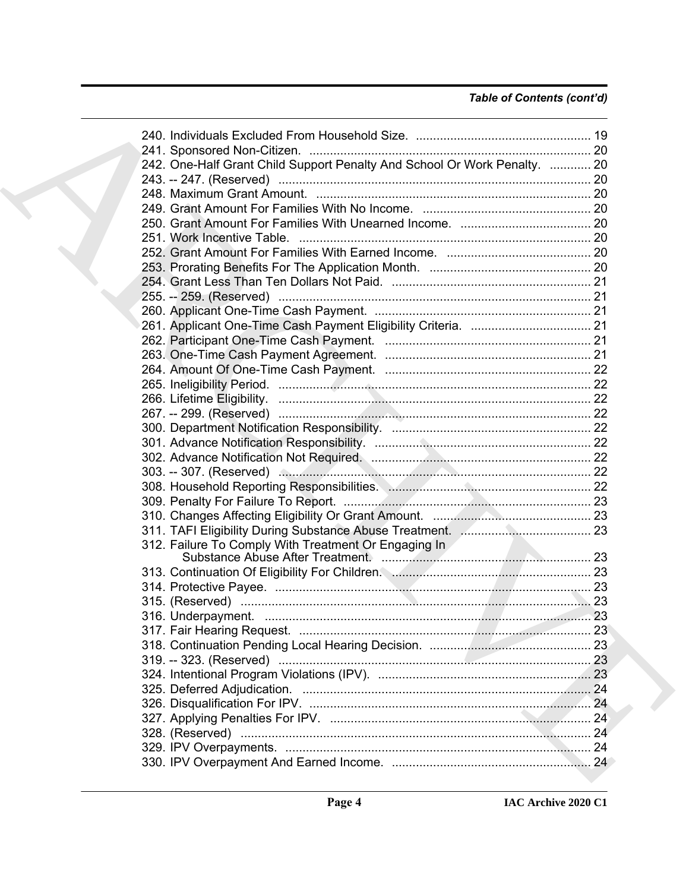### *Table of Contents (cont'd)*

| 242. One-Half Grant Child Support Penalty And School Or Work Penalty.  20 |  |
|---------------------------------------------------------------------------|--|
|                                                                           |  |
|                                                                           |  |
|                                                                           |  |
|                                                                           |  |
|                                                                           |  |
|                                                                           |  |
|                                                                           |  |
|                                                                           |  |
|                                                                           |  |
|                                                                           |  |
|                                                                           |  |
|                                                                           |  |
|                                                                           |  |
|                                                                           |  |
|                                                                           |  |
|                                                                           |  |
|                                                                           |  |
|                                                                           |  |
|                                                                           |  |
|                                                                           |  |
|                                                                           |  |
|                                                                           |  |
|                                                                           |  |
|                                                                           |  |
|                                                                           |  |
|                                                                           |  |
| 312. Failure To Comply With Treatment Or Engaging In                      |  |
|                                                                           |  |
|                                                                           |  |
|                                                                           |  |
|                                                                           |  |
|                                                                           |  |
|                                                                           |  |
|                                                                           |  |
|                                                                           |  |
|                                                                           |  |
|                                                                           |  |
|                                                                           |  |
|                                                                           |  |
|                                                                           |  |
|                                                                           |  |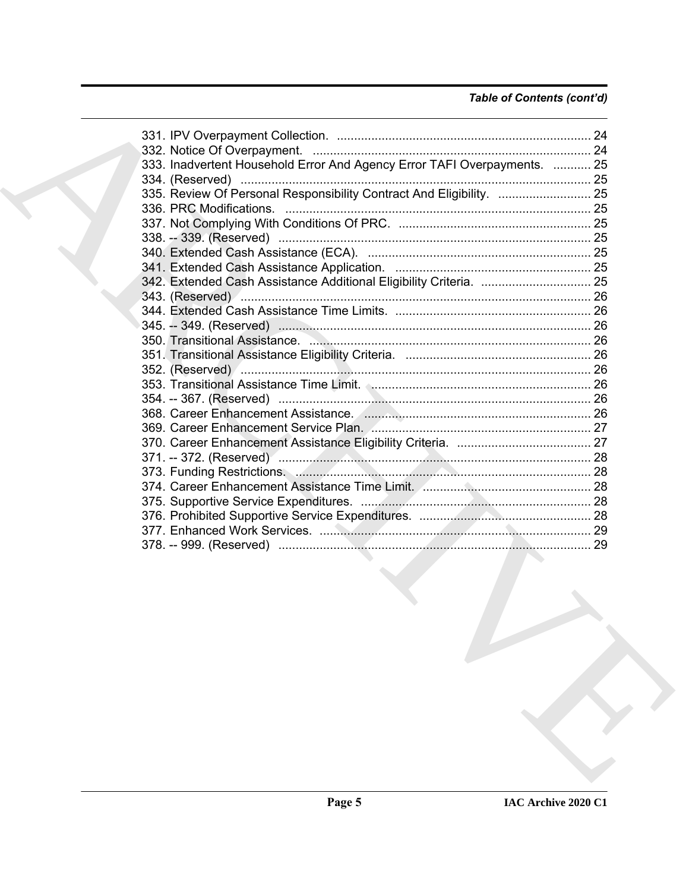### *Table of Contents (cont'd)*

| 333. Inadvertent Household Error And Agency Error TAFI Overpayments.  25          |  |
|-----------------------------------------------------------------------------------|--|
|                                                                                   |  |
| 335. Review Of Personal Responsibility Contract And Eligibility.  25              |  |
|                                                                                   |  |
|                                                                                   |  |
|                                                                                   |  |
|                                                                                   |  |
|                                                                                   |  |
|                                                                                   |  |
|                                                                                   |  |
|                                                                                   |  |
|                                                                                   |  |
|                                                                                   |  |
|                                                                                   |  |
|                                                                                   |  |
|                                                                                   |  |
| 353. Transitional Assistance Time Limit. (2000). 2000. Transmitter and the 26 St. |  |
|                                                                                   |  |
|                                                                                   |  |
|                                                                                   |  |
|                                                                                   |  |
|                                                                                   |  |
|                                                                                   |  |
|                                                                                   |  |
|                                                                                   |  |
|                                                                                   |  |
|                                                                                   |  |
|                                                                                   |  |
|                                                                                   |  |
|                                                                                   |  |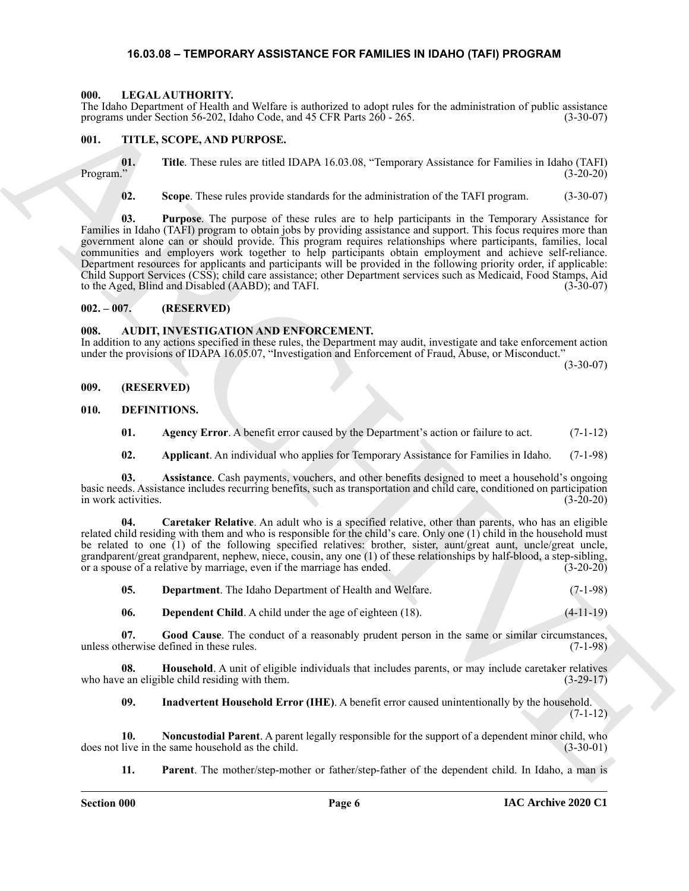#### <span id="page-5-20"></span>**16.03.08 – TEMPORARY ASSISTANCE FOR FAMILIES IN IDAHO (TAFI) PROGRAM**

#### <span id="page-5-1"></span><span id="page-5-0"></span>**000. LEGAL AUTHORITY.**

The Idaho Department of Health and Welfare is authorized to adopt rules for the administration of public assistance programs under Section 56-202, Idaho Code, and 45 CFR Parts 260 - 265. (3-30-07)

#### <span id="page-5-21"></span><span id="page-5-2"></span>**001. TITLE, SCOPE, AND PURPOSE.**

**01.** Title. These rules are titled IDAPA 16.03.08, "Temporary Assistance for Families in Idaho (TAFI) Program." (3-20-20) Program." (3-20-20)

**02. Scope**. These rules provide standards for the administration of the TAFI program. (3-30-07)

The Halan Programs of Finding at Virtues is another to subset the the state interaction of paties and the state of Finding at the State of Finding Control into the State of Finding Control into the State of Finding Contro **03. Purpose**. The purpose of these rules are to help participants in the Temporary Assistance for Families in Idaho (TAFI) program to obtain jobs by providing assistance and support. This focus requires more than government alone can or should provide. This program requires relationships where participants, families, local communities and employers work together to help participants obtain employment and achieve self-reliance. Department resources for applicants and participants will be provided in the following priority order, if applicable: Child Support Services (CSS); child care assistance; other Department services such as Medicaid, Food Stamps, Aid to the Aged, Blind and Disabled (AABD); and TAFI. (3-30-07)

#### <span id="page-5-3"></span>**002. – 007. (RESERVED)**

#### <span id="page-5-7"></span><span id="page-5-4"></span>**008. AUDIT, INVESTIGATION AND ENFORCEMENT.**

In addition to any actions specified in these rules, the Department may audit, investigate and take enforcement action under the provisions of IDAPA 16.05.07, "Investigation and Enforcement of Fraud, Abuse, or Misconduct."

(3-30-07)

- <span id="page-5-5"></span>**009. (RESERVED)**
- <span id="page-5-8"></span><span id="page-5-6"></span>**010. DEFINITIONS.**
	- **01.** Agency Error. A benefit error caused by the Department's action or failure to act. (7-1-12)

<span id="page-5-12"></span><span id="page-5-11"></span><span id="page-5-10"></span><span id="page-5-9"></span>**02. Applicant**. An individual who applies for Temporary Assistance for Families in Idaho. (7-1-98)

**03. Assistance**. Cash payments, vouchers, and other benefits designed to meet a household's ongoing basic needs. Assistance includes recurring benefits, such as transportation and child care, conditioned on participation in work activities.

**04. Caretaker Relative**. An adult who is a specified relative, other than parents, who has an eligible related child residing with them and who is responsible for the child's care. Only one (1) child in the household must be related to one (1) of the following specified relatives: brother, sister, aunt/great aunt, uncle/great uncle, grandparent/great grandparent, nephew, niece, cousin, any one (1) of these relationships by half-blood, a step-sibling, or a spouse of a relative by marriage, even if the marriage has ended. (3-20-20) or a spouse of a relative by marriage, even if the marriage has ended.

<span id="page-5-13"></span>

| 05. | <b>Department.</b> The Idaho Department of Health and Welfare. |  | $(7-1-98)$ |
|-----|----------------------------------------------------------------|--|------------|
|-----|----------------------------------------------------------------|--|------------|

<span id="page-5-16"></span><span id="page-5-15"></span><span id="page-5-14"></span>**06. Dependent Child**. A child under the age of eighteen (18). (4-11-19)

**07.** Good Cause. The conduct of a reasonably prudent person in the same or similar circumstances, herwise defined in these rules. (7-1-98) unless otherwise defined in these rules.

**08. Household**. A unit of eligible individuals that includes parents, or may include caretaker relatives e an eligible child residing with them. who have an eligible child residing with them.

<span id="page-5-18"></span><span id="page-5-17"></span>**09. Inadvertent Household Error (IHE)**. A benefit error caused unintentionally by the household.  $(7-1-12)$ 

**10. Noncustodial Parent**. A parent legally responsible for the support of a dependent minor child, who does not live in the same household as the child. (3-30-01)

<span id="page-5-19"></span>**11. Parent**. The mother/step-mother or father/step-father of the dependent child. In Idaho, a man is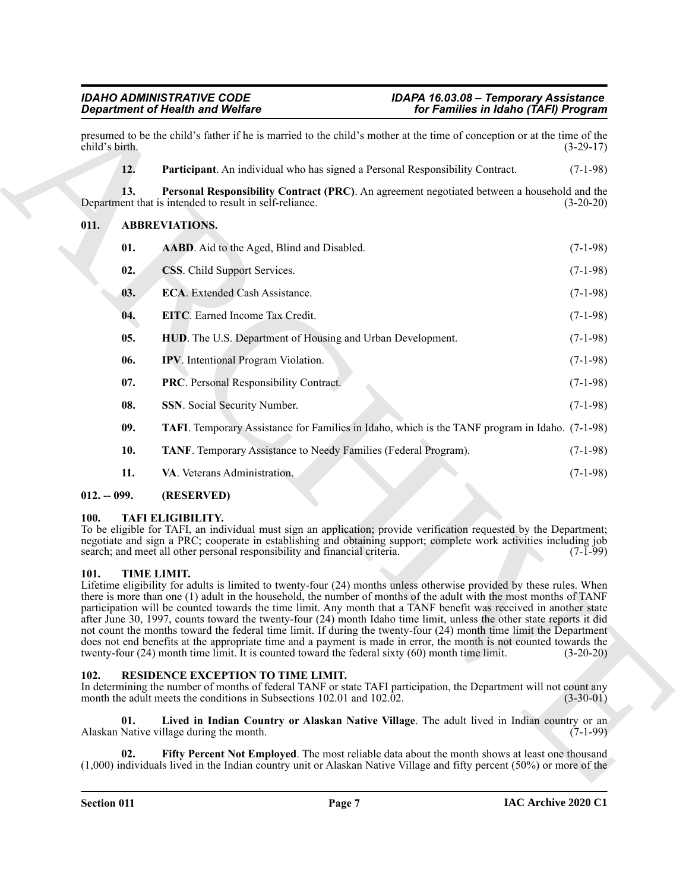#### <span id="page-6-18"></span><span id="page-6-17"></span><span id="page-6-11"></span><span id="page-6-10"></span><span id="page-6-9"></span><span id="page-6-8"></span><span id="page-6-7"></span><span id="page-6-6"></span><span id="page-6-5"></span><span id="page-6-0"></span>**011. ABBREVIATIONS.**

|                | <b>Department of Health and Welfare</b>                                                                                                                                                                                                                                                                                                                                                                                                                                                                                                                                                                                                                                                                                                                                                                                                                | for Families in Idaho (TAFI) Program                                                                  |             |
|----------------|--------------------------------------------------------------------------------------------------------------------------------------------------------------------------------------------------------------------------------------------------------------------------------------------------------------------------------------------------------------------------------------------------------------------------------------------------------------------------------------------------------------------------------------------------------------------------------------------------------------------------------------------------------------------------------------------------------------------------------------------------------------------------------------------------------------------------------------------------------|-------------------------------------------------------------------------------------------------------|-------------|
| child's birth. | presumed to be the child's father if he is married to the child's mother at the time of conception or at the time of the                                                                                                                                                                                                                                                                                                                                                                                                                                                                                                                                                                                                                                                                                                                               |                                                                                                       | $(3-29-17)$ |
| 12.            | Participant. An individual who has signed a Personal Responsibility Contract.                                                                                                                                                                                                                                                                                                                                                                                                                                                                                                                                                                                                                                                                                                                                                                          |                                                                                                       | $(7-1-98)$  |
| 13.            | Department that is intended to result in self-reliance.                                                                                                                                                                                                                                                                                                                                                                                                                                                                                                                                                                                                                                                                                                                                                                                                | Personal Responsibility Contract (PRC). An agreement negotiated between a household and the           | $(3-20-20)$ |
| 011.           | <b>ABBREVIATIONS.</b>                                                                                                                                                                                                                                                                                                                                                                                                                                                                                                                                                                                                                                                                                                                                                                                                                                  |                                                                                                       |             |
| 01.            | AABD. Aid to the Aged, Blind and Disabled.                                                                                                                                                                                                                                                                                                                                                                                                                                                                                                                                                                                                                                                                                                                                                                                                             |                                                                                                       | $(7-1-98)$  |
| 02.            | CSS. Child Support Services.                                                                                                                                                                                                                                                                                                                                                                                                                                                                                                                                                                                                                                                                                                                                                                                                                           |                                                                                                       | $(7-1-98)$  |
| 03.            | ECA. Extended Cash Assistance.                                                                                                                                                                                                                                                                                                                                                                                                                                                                                                                                                                                                                                                                                                                                                                                                                         |                                                                                                       | $(7-1-98)$  |
| 04.            | EITC. Earned Income Tax Credit.                                                                                                                                                                                                                                                                                                                                                                                                                                                                                                                                                                                                                                                                                                                                                                                                                        |                                                                                                       | $(7-1-98)$  |
| 05.            | HUD. The U.S. Department of Housing and Urban Development.                                                                                                                                                                                                                                                                                                                                                                                                                                                                                                                                                                                                                                                                                                                                                                                             |                                                                                                       | $(7-1-98)$  |
| 06.            | <b>IPV</b> . Intentional Program Violation.                                                                                                                                                                                                                                                                                                                                                                                                                                                                                                                                                                                                                                                                                                                                                                                                            |                                                                                                       | $(7-1-98)$  |
| 07.            | PRC. Personal Responsibility Contract.                                                                                                                                                                                                                                                                                                                                                                                                                                                                                                                                                                                                                                                                                                                                                                                                                 |                                                                                                       | $(7-1-98)$  |
| 08.            | SSN. Social Security Number.                                                                                                                                                                                                                                                                                                                                                                                                                                                                                                                                                                                                                                                                                                                                                                                                                           |                                                                                                       | $(7-1-98)$  |
| 09.            |                                                                                                                                                                                                                                                                                                                                                                                                                                                                                                                                                                                                                                                                                                                                                                                                                                                        | <b>TAFI.</b> Temporary Assistance for Families in Idaho, which is the TANF program in Idaho. (7-1-98) |             |
| 10.            | TANF. Temporary Assistance to Needy Families (Federal Program).                                                                                                                                                                                                                                                                                                                                                                                                                                                                                                                                                                                                                                                                                                                                                                                        |                                                                                                       | $(7-1-98)$  |
| 11.            | VA. Veterans Administration.                                                                                                                                                                                                                                                                                                                                                                                                                                                                                                                                                                                                                                                                                                                                                                                                                           |                                                                                                       | $(7-1-98)$  |
| $012. - 099.$  | (RESERVED)                                                                                                                                                                                                                                                                                                                                                                                                                                                                                                                                                                                                                                                                                                                                                                                                                                             |                                                                                                       |             |
| 100.           | <b>TAFI ELIGIBILITY.</b><br>To be eligible for TAFI, an individual must sign an application; provide verification requested by the Department;<br>negotiate and sign a PRC; cooperate in establishing and obtaining support; complete work activities including job<br>search; and meet all other personal responsibility and financial criteria.                                                                                                                                                                                                                                                                                                                                                                                                                                                                                                      |                                                                                                       | $(7-1-99)$  |
| 101.           | TIME LIMIT.<br>Lifetime eligibility for adults is limited to twenty-four (24) months unless otherwise provided by these rules. When<br>there is more than one (1) adult in the household, the number of months of the adult with the most months of TANF<br>participation will be counted towards the time limit. Any month that a TANF benefit was received in another state<br>after June 30, 1997, counts toward the twenty-four (24) month Idaho time limit, unless the other state reports it did<br>not count the months toward the federal time limit. If during the twenty-four (24) month time limit the Department<br>does not end benefits at the appropriate time and a payment is made in error, the month is not counted towards the<br>twenty-four (24) month time limit. It is counted toward the federal sixty (60) month time limit. |                                                                                                       | $(3-20-20)$ |
| 102.           | RESIDENCE EXCEPTION TO TIME LIMIT.<br>In determining the number of months of federal TANF or state TAFI participation, the Department will not count any<br>month the adult meets the conditions in Subsections 102.01 and 102.02.                                                                                                                                                                                                                                                                                                                                                                                                                                                                                                                                                                                                                     |                                                                                                       | $(3-30-01)$ |
| 01.            | Alaskan Native village during the month.                                                                                                                                                                                                                                                                                                                                                                                                                                                                                                                                                                                                                                                                                                                                                                                                               | Lived in Indian Country or Alaskan Native Village. The adult lived in Indian country or an            | $(7-1-99)$  |
|                |                                                                                                                                                                                                                                                                                                                                                                                                                                                                                                                                                                                                                                                                                                                                                                                                                                                        |                                                                                                       |             |

#### <span id="page-6-16"></span><span id="page-6-15"></span><span id="page-6-14"></span><span id="page-6-13"></span><span id="page-6-12"></span><span id="page-6-1"></span>**012. -- 099. (RESERVED)**

#### <span id="page-6-22"></span><span id="page-6-2"></span>**100. TAFI ELIGIBILITY.**

#### <span id="page-6-23"></span><span id="page-6-3"></span>**101. TIME LIMIT.**

#### <span id="page-6-21"></span><span id="page-6-20"></span><span id="page-6-19"></span><span id="page-6-4"></span>**102. RESIDENCE EXCEPTION TO TIME LIMIT.**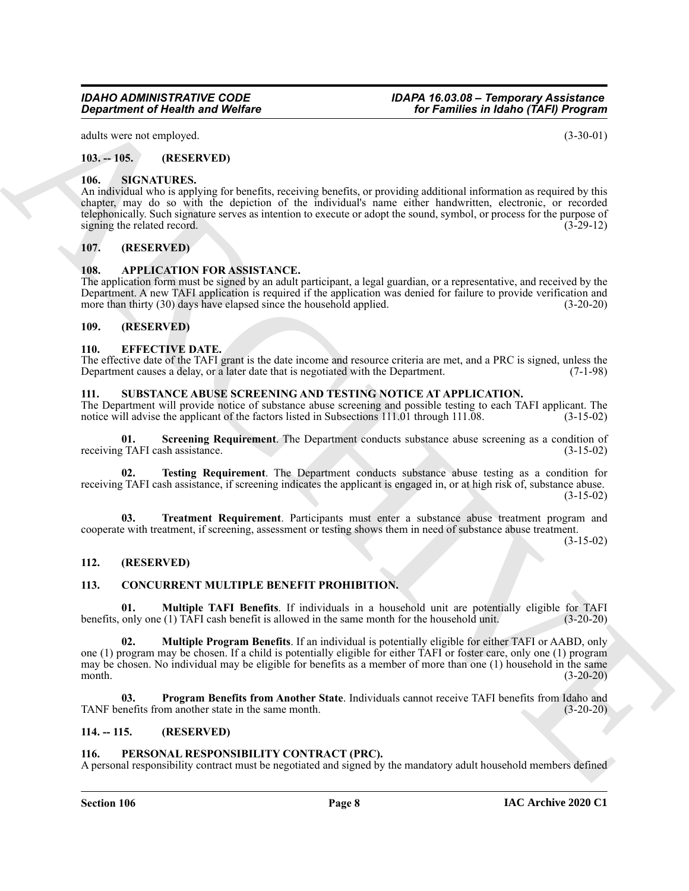## *IDAHO ADMINISTRATIVE CODE IDAPA 16.03.08 – Temporary Assistance*

adults were not employed. (3-30-01)

#### <span id="page-7-0"></span>**103. -- 105. (RESERVED)**

#### <span id="page-7-17"></span><span id="page-7-1"></span>**106. SIGNATURES.**

An individual who is applying for benefits, receiving benefits, or providing additional information as required by this chapter, may do so with the depiction of the individual's name either handwritten, electronic, or recorded telephonically. Such signature serves as intention to execute or adopt the sound, symbol, or process for the purpose of signing the related record. (3-29-12)

#### <span id="page-7-2"></span>**107. (RESERVED)**

#### <span id="page-7-11"></span><span id="page-7-3"></span>**108. APPLICATION FOR ASSISTANCE.**

The application form must be signed by an adult participant, a legal guardian, or a representative, and received by the Department. A new TAFI application is required if the application was denied for failure to provide verification and more than thirty (30) days have elapsed since the household applied. (3-20-20)

#### <span id="page-7-15"></span><span id="page-7-4"></span>**109. (RESERVED)**

#### <span id="page-7-5"></span>**110. EFFECTIVE DATE.**

The effective date of the TAFI grant is the date income and resource criteria are met, and a PRC is signed, unless the Department causes a delay, or a later date that is negotiated with the Department. (7-1-98) Department causes a delay, or a later date that is negotiated with the Department.

#### <span id="page-7-18"></span><span id="page-7-6"></span>**111. SUBSTANCE ABUSE SCREENING AND TESTING NOTICE AT APPLICATION.**

The Department will provide notice of substance abuse screening and possible testing to each TAFI applicant. The notice will advise the applicant of the factors listed in Subsections 111.01 through 111.08. (3-15-02) notice will advise the applicant of the factors listed in Subsections 111.01 through 111.08.

<span id="page-7-19"></span>**Screening Requirement**. The Department conducts substance abuse screening as a condition of sh assistance. (3-15-02) receiving TAFI cash assistance.

<span id="page-7-20"></span>**02. Testing Requirement**. The Department conducts substance abuse testing as a condition for receiving TAFI cash assistance, if screening indicates the applicant is engaged in, or at high risk of, substance abuse. (3-15-02)

<span id="page-7-21"></span>**03. Treatment Requirement**. Participants must enter a substance abuse treatment program and cooperate with treatment, if screening, assessment or testing shows them in need of substance abuse treatment.

(3-15-02)

#### <span id="page-7-7"></span>**112. (RESERVED)**

#### <span id="page-7-12"></span><span id="page-7-8"></span>**113. CONCURRENT MULTIPLE BENEFIT PROHIBITION.**

<span id="page-7-14"></span><span id="page-7-13"></span>**01. Multiple TAFI Benefits**. If individuals in a household unit are potentially eligible for TAFI only one (1) TAFI cash benefit is allowed in the same month for the household unit. (3-20-20) benefits, only one (1) TAFI cash benefit is allowed in the same month for the household unit.

**Experiment of Nearly Andre Wolfare**<br>
And the second of the second of the second of the second of the second of the second of the second of the second of the second of the second of the second of the second of the second **02. Multiple Program Benefits**. If an individual is potentially eligible for either TAFI or AABD, only one (1) program may be chosen. If a child is potentially eligible for either TAFI or foster care, only one (1) program may be chosen. No individual may be eligible for benefits as a member of more than one (1) household in the same month. (3-20-20)

**03. Program Benefits from Another State**. Individuals cannot receive TAFI benefits from Idaho and TANF benefits from another state in the same month. (3-20-20)

#### <span id="page-7-9"></span>**114. -- 115. (RESERVED)**

#### <span id="page-7-16"></span><span id="page-7-10"></span>**116. PERSONAL RESPONSIBILITY CONTRACT (PRC).**

A personal responsibility contract must be negotiated and signed by the mandatory adult household members defined

*Department of Health and Welfare for Families in Idaho (TAFI) Program*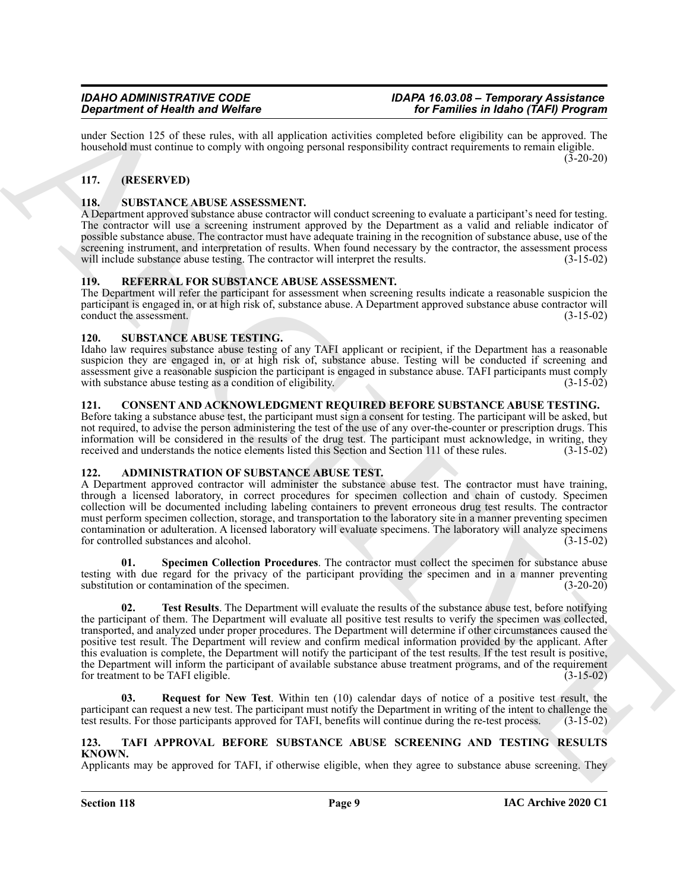under Section 125 of these rules, with all application activities completed before eligibility can be approved. The household must continue to comply with ongoing personal responsibility contract requirements to remain eligible.  $(3-20-20)$ 

### <span id="page-8-0"></span>**117. (RESERVED)**

#### <span id="page-8-13"></span><span id="page-8-1"></span>**118. SUBSTANCE ABUSE ASSESSMENT.**

A Department approved substance abuse contractor will conduct screening to evaluate a participant's need for testing. The contractor will use a screening instrument approved by the Department as a valid and reliable indicator of possible substance abuse. The contractor must have adequate training in the recognition of substance abuse, use of the screening instrument, and interpretation of results. When found necessary by the contractor, the assessment process will include substance abuse testing. The contractor will interpret the results. (3-15-02)

#### <span id="page-8-12"></span><span id="page-8-2"></span>**119. REFERRAL FOR SUBSTANCE ABUSE ASSESSMENT.**

The Department will refer the participant for assessment when screening results indicate a reasonable suspicion the participant is engaged in, or at high risk of, substance abuse. A Department approved substance abuse contractor will conduct the assessment. (3-15-02) conduct the assessment.

#### <span id="page-8-14"></span><span id="page-8-3"></span>**120. SUBSTANCE ABUSE TESTING.**

Idaho law requires substance abuse testing of any TAFI applicant or recipient, if the Department has a reasonable suspicion they are engaged in, or at high risk of, substance abuse. Testing will be conducted if screening and assessment give a reasonable suspicion the participant is engaged in substance abuse. TAFI participants must comply with substance abuse testing as a condition of eligibility. (3-15-02) with substance abuse testing as a condition of eligibility.

#### <span id="page-8-11"></span><span id="page-8-4"></span>**121. CONSENT AND ACKNOWLEDGMENT REQUIRED BEFORE SUBSTANCE ABUSE TESTING.**

Before taking a substance abuse test, the participant must sign a consent for testing. The participant will be asked, but not required, to advise the person administering the test of the use of any over-the-counter or prescription drugs. This information will be considered in the results of the drug test. The participant must acknowledge, in writing, they received and understands the notice elements listed this Section and Section 111 of these rules. (3-15-02)

### <span id="page-8-7"></span><span id="page-8-5"></span>**122. ADMINISTRATION OF SUBSTANCE ABUSE TEST.**

A Department approved contractor will administer the substance abuse test. The contractor must have training, through a licensed laboratory, in correct procedures for specimen collection and chain of custody. Specimen collection will be documented including labeling containers to prevent erroneous drug test results. The contractor must perform specimen collection, storage, and transportation to the laboratory site in a manner preventing specimen contamination or adulteration. A licensed laboratory will evaluate specimens. The laboratory will analyze specimens for controlled substances and alcohol. (3-15-02)

<span id="page-8-10"></span><span id="page-8-9"></span>**Specimen Collection Procedures**. The contractor must collect the specimen for substance abuse testing with due regard for the privacy of the participant providing the specimen and in a manner preventing substitution or contamination of the specimen. (3-20-20)

Graduation of Newton Research of Newton Research (English Solar Control 1993). The Fourier interaction and the Solar Control 1993 (Solar Control 1993). The Control 1993 (Solar Control 1993) (Solar Control 1993) (Solar Con **02. Test Results**. The Department will evaluate the results of the substance abuse test, before notifying the participant of them. The Department will evaluate all positive test results to verify the specimen was collected, transported, and analyzed under proper procedures. The Department will determine if other circumstances caused the positive test result. The Department will review and confirm medical information provided by the applicant. After this evaluation is complete, the Department will notify the participant of the test results. If the test result is positive, the Department will inform the participant of available substance abuse treatment programs, and of the requirement for treatment to be TAFI eligible. (3-15-02)

<span id="page-8-8"></span>**03. Request for New Test**. Within ten (10) calendar days of notice of a positive test result, the participant can request a new test. The participant must notify the Department in writing of the intent to challenge the test results. For those participants approved for TAFI, benefits will continue during the re-test process. (3-15-02)

#### <span id="page-8-15"></span><span id="page-8-6"></span>**123. TAFI APPROVAL BEFORE SUBSTANCE ABUSE SCREENING AND TESTING RESULTS KNOWN.**

Applicants may be approved for TAFI, if otherwise eligible, when they agree to substance abuse screening. They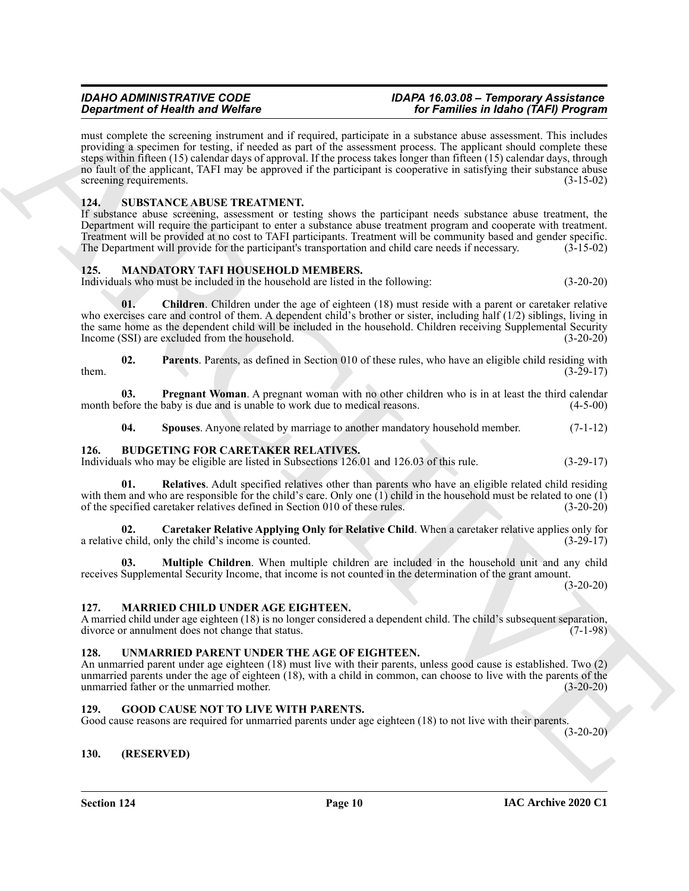**Strainer of Health and Velocity**<br> **EXECUTE THE CONFERENCE CONFERENCE INTERFERENCE (SEE FORMATION CONFERENCE INTERFERENCE IN A CONFERENCE IN A CONFERENCE INTERFERENCE INTERFERENCE INTERFERENCE INTERFERENCE INTERFERENCE I** must complete the screening instrument and if required, participate in a substance abuse assessment. This includes providing a specimen for testing, if needed as part of the assessment process. The applicant should complete these steps within fifteen (15) calendar days of approval. If the process takes longer than fifteen (15) calendar days, through no fault of the applicant, TAFI may be approved if the participant is cooperative in satisfying their substance abuse screening requirements. (3-15-02)

#### <span id="page-9-18"></span><span id="page-9-0"></span>**124. SUBSTANCE ABUSE TREATMENT.**

If substance abuse screening, assessment or testing shows the participant needs substance abuse treatment, the Department will require the participant to enter a substance abuse treatment program and cooperate with treatment. Treatment will be provided at no cost to TAFI participants. Treatment will be community based and gender specific. The Department will provide for the participant's transportation and child care needs if necessary. (3-15-02)

#### <span id="page-9-12"></span><span id="page-9-1"></span>**125. MANDATORY TAFI HOUSEHOLD MEMBERS.**

Individuals who must be included in the household are listed in the following: (3-20-20)

<span id="page-9-13"></span>**01. Children**. Children under the age of eighteen (18) must reside with a parent or caretaker relative who exercises care and control of them. A dependent child's brother or sister, including half (1/2) siblings, living in the same home as the dependent child will be included in the household. Children receiving Supplemental Security Income (SSI) are excluded from the household. (3-20-20)

<span id="page-9-14"></span>**02.** Parents. Parents, as defined in Section 010 of these rules, who have an eligible child residing with (3-29-17) them.  $(3-29-17)$ 

**03. Pregnant Woman**. A pregnant woman with no other children who is in at least the third calendar month before the baby is due and is unable to work due to medical reasons. (4-5-00)

<span id="page-9-16"></span><span id="page-9-15"></span><span id="page-9-10"></span><span id="page-9-7"></span>**04. Spouses**. Anyone related by marriage to another mandatory household member. (7-1-12)

#### <span id="page-9-2"></span>**126. BUDGETING FOR CARETAKER RELATIVES.**

Individuals who may be eligible are listed in Subsections 126.01 and 126.03 of this rule. (3-29-17)

**01. Relatives**. Adult specified relatives other than parents who have an eligible related child residing with them and who are responsible for the child's care. Only one (1) child in the household must be related to one (1) of the specified caretaker relatives defined in Section 010 of these rules. (3-20-20)

<span id="page-9-8"></span>**02. Caretaker Relative Applying Only for Relative Child**. When a caretaker relative applies only for a relative child, only the child's income is counted. (3-29-17)

<span id="page-9-9"></span>**03. Multiple Children**. When multiple children are included in the household unit and any child receives Supplemental Security Income, that income is not counted in the determination of the grant amount.

 $(3-20-20)$ 

#### <span id="page-9-17"></span><span id="page-9-3"></span>**127. MARRIED CHILD UNDER AGE EIGHTEEN.**

A married child under age eighteen (18) is no longer considered a dependent child. The child's subsequent separation, divorce or annulment does not change that status. (7-1-98)

#### <span id="page-9-19"></span><span id="page-9-4"></span>**128. UNMARRIED PARENT UNDER THE AGE OF EIGHTEEN.**

An unmarried parent under age eighteen (18) must live with their parents, unless good cause is established. Two (2) unmarried parents under the age of eighteen (18), with a child in common, can choose to live with the parents of the unmarried father or the unmarried mother. (3-20-20) unmarried father or the unmarried mother.

#### <span id="page-9-11"></span><span id="page-9-5"></span>**129. GOOD CAUSE NOT TO LIVE WITH PARENTS.**

Good cause reasons are required for unmarried parents under age eighteen (18) to not live with their parents.

(3-20-20)

#### <span id="page-9-6"></span>**130. (RESERVED)**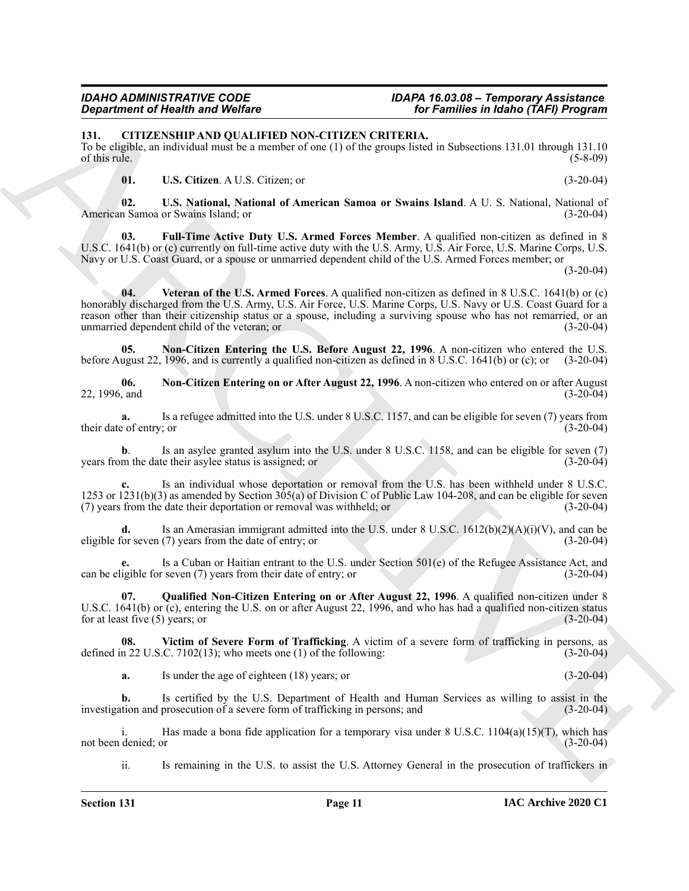<span id="page-10-1"></span><span id="page-10-0"></span>**131. CITIZENSHIP AND QUALIFIED NON-CITIZEN CRITERIA.**

To be eligible, an individual must be a member of one (1) of the groups listed in Subsections 131.01 through 131.10 of this rule.  $(5-8-09)$ 

<span id="page-10-7"></span><span id="page-10-6"></span><span id="page-10-2"></span>**01. U.S. Citizen**. A U.S. Citizen; or (3-20-04)

**02. U.S. National, National of American Samoa or Swains Island**. A U. S. National, National of American Samoa or Swains Island; or

<span id="page-10-8"></span>**03. Full-Time Active Duty U.S. Armed Forces Member**. A qualified non-citizen as defined in 8 U.S.C. 1641(b) or (c) currently on full-time active duty with the U.S. Army, U.S. Air Force, U.S. Marine Corps, U.S. Navy or U.S. Coast Guard, or a spouse or unmarried dependent child of the U.S. Armed Forces member; or

(3-20-04)

**Experimental Note that the ARCHIVEST CRITERAL CRITERIAL CRITERAL CRITERAL CRITERAL CRITERAL CRITERAL CRITERAL CRITERAL CRITERAL CRITERAL CRITERAL CRITERAL CRITERAL CRITERAL CRITERAL CRITERAL CRITERAL CRITERAL CRITERAL CR 04. Veteran of the U.S. Armed Forces**. A qualified non-citizen as defined in 8 U.S.C. 1641(b) or (c) honorably discharged from the U.S. Army, U.S. Air Force, U.S. Marine Corps, U.S. Navy or U.S. Coast Guard for a reason other than their citizenship status or a spouse, including a surviving spouse who has not remarried, or an unmarried dependent child of the veteran; or (3-20-04)

<span id="page-10-4"></span>**05. Non-Citizen Entering the U.S. Before August 22, 1996**. A non-citizen who entered the U.S. before August 22, 1996, and is currently a qualified non-citizen as defined in 8 U.S.C. 1641(b) or (c); or (3-20-04)

<span id="page-10-3"></span>**06. Non-Citizen Entering on or After August 22, 1996**. A non-citizen who entered on or after August 22, 1996, and (3-20-04)

**a.** Is a refugee admitted into the U.S. under 8 U.S.C. 1157, and can be eligible for seven (7) years from their date of entry; or (3-20-04)

**b**. Is an asylee granted asylum into the U.S. under 8 U.S.C. 1158, and can be eligible for seven (7) years from the date their asylee status is assigned; or (3-20-04)

**c.** Is an individual whose deportation or removal from the U.S. has been withheld under 8 U.S.C. 1253 or 1231(b)(3) as amended by Section 305(a) of Division C of Public Law 104-208, and can be eligible for seven (7) years from the date their deportation or removal was withheld; or (3-20-04)

**d.** Is an Amerasian immigrant admitted into the U.S. under  $8 \text{ U.S. C. } 1612(b)(2)(A)(i)(V)$ , and can be eligible for seven (7) years from the date of entry; or (3-20-04)

Is a Cuban or Haitian entrant to the U.S. under Section 501(e) of the Refugee Assistance Act, and r seven (7) years from their date of entry; or (3-20-04) can be eligible for seven  $(7)$  years from their date of entry; or

<span id="page-10-5"></span>**07. Qualified Non-Citizen Entering on or After August 22, 1996**. A qualified non-citizen under 8 U.S.C. 1641(b) or (c), entering the U.S. on or after August 22, 1996, and who has had a qualified non-citizen status for at least five (5) years; or (3-20-04) for at least five  $(5)$  years; or

**08. Victim of Severe Form of Trafficking**. A victim of a severe form of trafficking in persons, as defined in 22 U.S.C. 7102(13); who meets one (1) of the following:  $(3-20-04)$ 

<span id="page-10-9"></span>**a.** Is under the age of eighteen (18) years; or (3-20-04)

**b.** Is certified by the U.S. Department of Health and Human Services as willing to assist in the investigation and prosecution of a severe form of trafficking in persons; and (3-20-04)

i. Has made a bona fide application for a temporary visa under 8 U.S.C.  $1104(a)(15)(T)$ , which has denied; or (3-20-04) not been denied; or

ii. Is remaining in the U.S. to assist the U.S. Attorney General in the prosecution of traffickers in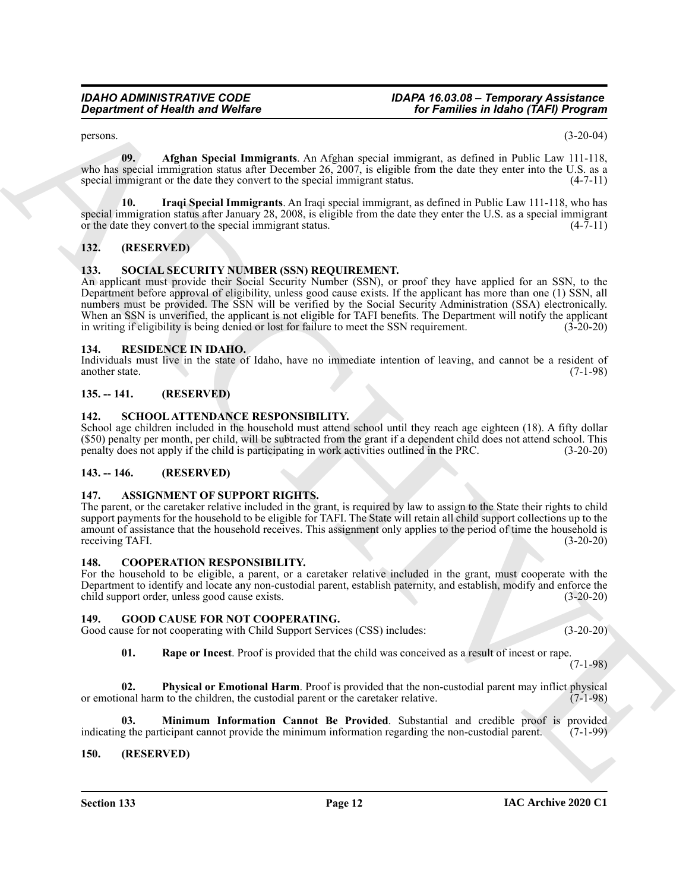<span id="page-11-11"></span> $p$ ersons. (3-20-04)

**09. Afghan Special Immigrants**. An Afghan special immigrant, as defined in Public Law 111-118, who has special immigration status after December 26, 2007, is eligible from the date they enter into the U.S. as a special immigrant or the date they convert to the special immigrant status. (4-7-11)

<span id="page-11-12"></span>**10. Iraqi Special Immigrants**. An Iraqi special immigrant, as defined in Public Law 111-118, who has special immigration status after January 28, 2008, is eligible from the date they enter the U.S. as a special immigrant or the date they convert to the special immigrant status. (4-7-11)

#### <span id="page-11-0"></span>**132. (RESERVED)**

#### <span id="page-11-20"></span><span id="page-11-1"></span>**133. SOCIAL SECURITY NUMBER (SSN) REQUIREMENT.**

**Considered of Health and Wolfare**<br>
Note Theoretical Remarks and Sphere and Sphere and Sphere and Sphere and Sphere and Sphere and Sphere and Sphere and Sphere and Sphere and Sphere and Sphere and Sphere and Sphere and Sp An applicant must provide their Social Security Number (SSN), or proof they have applied for an SSN, to the Department before approval of eligibility, unless good cause exists. If the applicant has more than one (1) SSN, all numbers must be provided. The SSN will be verified by the Social Security Administration (SSA) electronically. When an SSN is unverified, the applicant is not eligible for TAFI benefits. The Department will notify the applicant in writing if eligibility is being denied or lost for failure to meet the SSN requirement.  $(3-20-20)$ 

#### <span id="page-11-18"></span><span id="page-11-2"></span>**134. RESIDENCE IN IDAHO.**

Individuals must live in the state of Idaho, have no immediate intention of leaving, and cannot be a resident of another state. (7-1-98)

#### <span id="page-11-3"></span>**135. -- 141. (RESERVED)**

#### <span id="page-11-19"></span><span id="page-11-4"></span>**142. SCHOOL ATTENDANCE RESPONSIBILITY.**

School age children included in the household must attend school until they reach age eighteen (18). A fifty dollar (\$50) penalty per month, per child, will be subtracted from the grant if a dependent child does not attend school. This penalty does not apply if the child is participating in work activities outlined in the PRC. (3-20-20)

#### <span id="page-11-5"></span>**143. -- 146. (RESERVED)**

#### <span id="page-11-10"></span><span id="page-11-6"></span>**147. ASSIGNMENT OF SUPPORT RIGHTS.**

The parent, or the caretaker relative included in the grant, is required by law to assign to the State their rights to child support payments for the household to be eligible for TAFI. The State will retain all child support collections up to the amount of assistance that the household receives. This assignment only applies to the period of time the household is receiving TAFI. (3-20-20)

#### <span id="page-11-13"></span><span id="page-11-7"></span>**148. COOPERATION RESPONSIBILITY.**

For the household to be eligible, a parent, or a caretaker relative included in the grant, must cooperate with the Department to identify and locate any non-custodial parent, establish paternity, and establish, modify and enforce the child support order, unless good cause exists. (3-20-20)

#### <span id="page-11-14"></span><span id="page-11-8"></span>**149. GOOD CAUSE FOR NOT COOPERATING.**

Good cause for not cooperating with Child Support Services (CSS) includes: (3-20-20)

<span id="page-11-17"></span><span id="page-11-16"></span><span id="page-11-15"></span>**01. Rape or Incest**. Proof is provided that the child was conceived as a result of incest or rape.

(7-1-98)

**02. Physical or Emotional Harm**. Proof is provided that the non-custodial parent may inflict physical or emotional harm to the children, the custodial parent or the caretaker relative. (7-1-98)

**03. Minimum Information Cannot Be Provided**. Substantial and credible proof is provided indicating the participant cannot provide the minimum information regarding the non-custodial parent. (7-1-99)

#### <span id="page-11-9"></span>**150. (RESERVED)**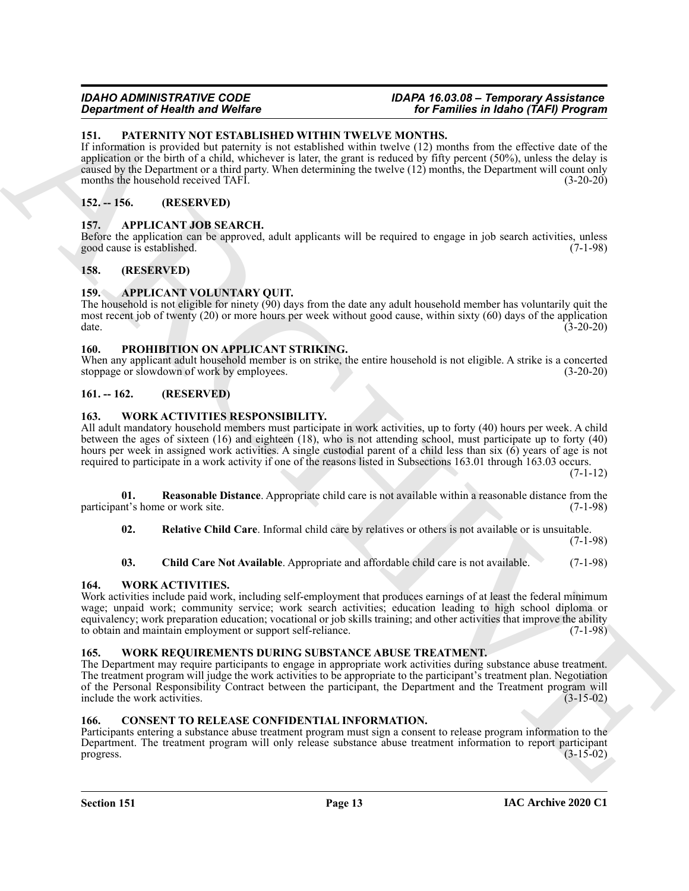#### <span id="page-12-14"></span><span id="page-12-0"></span>**151. PATERNITY NOT ESTABLISHED WITHIN TWELVE MONTHS.**

If information is provided but paternity is not established within twelve (12) months from the effective date of the application or the birth of a child, whichever is later, the grant is reduced by fifty percent (50%), unless the delay is caused by the Department or a third party. When determining the twelve (12) months, the Department will count only months the household received TAFI. (3-20-20)

#### <span id="page-12-11"></span><span id="page-12-1"></span>**152. -- 156. (RESERVED)**

#### <span id="page-12-2"></span>**157. APPLICANT JOB SEARCH.**

Before the application can be approved, adult applicants will be required to engage in job search activities, unless good cause is established. (7-1-98)

#### <span id="page-12-3"></span>**158. (RESERVED)**

#### <span id="page-12-12"></span><span id="page-12-4"></span>**159. APPLICANT VOLUNTARY QUIT.**

The household is not eligible for ninety (90) days from the date any adult household member has voluntarily quit the most recent job of twenty (20) or more hours per week without good cause, within sixty (60) days of the application date. (3-20-20)

#### <span id="page-12-15"></span><span id="page-12-5"></span>**160. PROHIBITION ON APPLICANT STRIKING.**

When any applicant adult household member is on strike, the entire household is not eligible. A strike is a concerted stoppage or slowdown of work by employees. (3-20-20)

#### <span id="page-12-6"></span>**161. -- 162. (RESERVED)**

#### <span id="page-12-17"></span><span id="page-12-7"></span>**163. WORK ACTIVITIES RESPONSIBILITY.**

All adult mandatory household members must participate in work activities, up to forty (40) hours per week. A child between the ages of sixteen (16) and eighteen (18), who is not attending school, must participate up to forty (40) hours per week in assigned work activities. A single custodial parent of a child less than six (6) years of age is not required to participate in a work activity if one of the reasons listed in Subsections 163.01 through 163.03 occurs.

(7-1-12)

**01. Reasonable Distance**. Appropriate child care is not available within a reasonable distance from the participant's home or work site. (7-1-98)

<span id="page-12-20"></span><span id="page-12-19"></span>**02. Relative Child Care**. Informal child care by relatives or others is not available or is unsuitable.

(7-1-98)

#### <span id="page-12-18"></span><span id="page-12-16"></span>**03. Child Care Not Available**. Appropriate and affordable child care is not available. (7-1-98)

#### <span id="page-12-8"></span>**164. WORK ACTIVITIES.**

**Equivalent of New York Constraints William SV and Constraints in Equivalent Properties.**<br> **ARCHIVES CONSTRUCTS AND CONSTRUCTS IN A CONSTRUCT CONSTRUCT CONSTRUCTS**<br> **ARCHIVES CONSTRUCTS** AND CONSTRUCTS CONSTRUCTS (See Alt Work activities include paid work, including self-employment that produces earnings of at least the federal minimum wage; unpaid work; community service; work search activities; education leading to high school diploma or equivalency; work preparation education; vocational or job skills training; and other activities that improve the ability to obtain and maintain employment or support self-reliance. (7-1-98)

#### <span id="page-12-21"></span><span id="page-12-9"></span>**165. WORK REQUIREMENTS DURING SUBSTANCE ABUSE TREATMENT.**

The Department may require participants to engage in appropriate work activities during substance abuse treatment. The treatment program will judge the work activities to be appropriate to the participant's treatment plan. Negotiation of the Personal Responsibility Contract between the participant, the Department and the Treatment program will include the work activities. (3-15-02)

#### <span id="page-12-13"></span><span id="page-12-10"></span>**166. CONSENT TO RELEASE CONFIDENTIAL INFORMATION.**

Participants entering a substance abuse treatment program must sign a consent to release program information to the Department. The treatment program will only release substance abuse treatment information to report participant progress. (3-15-02) progress.  $(3-15-02)$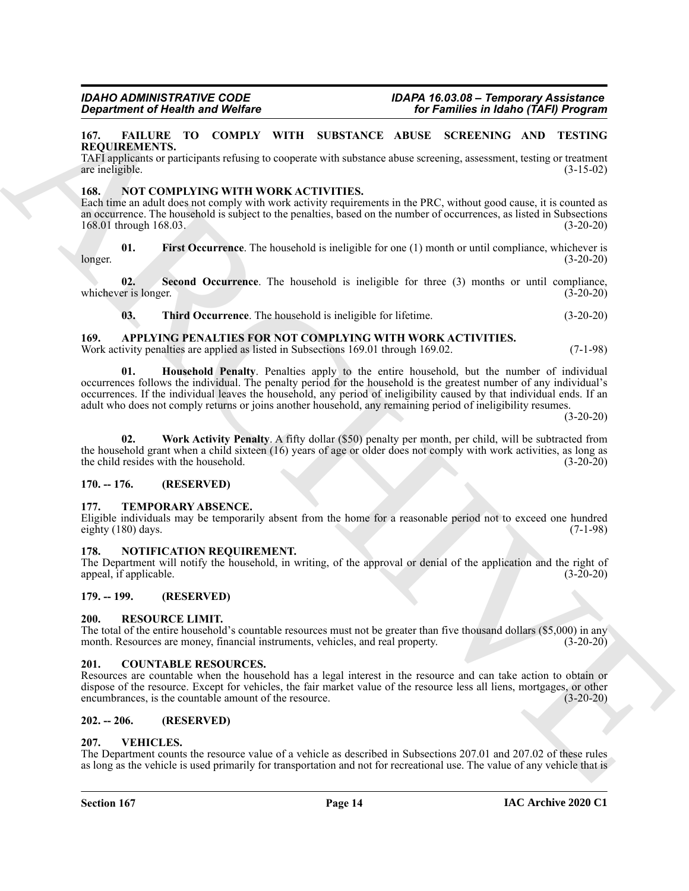#### <span id="page-13-14"></span><span id="page-13-0"></span>**167. FAILURE TO COMPLY WITH SUBSTANCE ABUSE SCREENING AND TESTING REQUIREMENTS.**

TAFI applicants or participants refusing to cooperate with substance abuse screening, assessment, testing or treatment are ineligible. (3-15-02)

#### <span id="page-13-15"></span><span id="page-13-1"></span>**168. NOT COMPLYING WITH WORK ACTIVITIES.**

Each time an adult does not comply with work activity requirements in the PRC, without good cause, it is counted as an occurrence. The household is subject to the penalties, based on the number of occurrences, as listed in Subsections 168.01 through 168.03. (3-20-20)

<span id="page-13-16"></span>**01. First Occurrence**. The household is ineligible for one (1) month or until compliance, whichever is longer. (3-20-20)

**02. Second Occurrence**. The household is ineligible for three (3) months or until compliance, whichever is longer. (3-20-20)

<span id="page-13-18"></span><span id="page-13-17"></span><span id="page-13-11"></span>**03. Third Occurrence**. The household is ineligible for lifetime. (3-20-20)

#### <span id="page-13-2"></span>**169. APPLYING PENALTIES FOR NOT COMPLYING WITH WORK ACTIVITIES.**

Work activity penalties are applied as listed in Subsections 169.01 through 169.02. (7-1-98)

**Experimente of the absolution of Wolfrey<br>
16. Families in dishoc (TAFI) Program<br>
16. Families in dishoc (TAFI) Program<br>
16. Families in diskonstrates the control of the system with situate and the system of the system of 01. Household Penalty**. Penalties apply to the entire household, but the number of individual occurrences follows the individual. The penalty period for the household is the greatest number of any individual's occurrences. If the individual leaves the household, any period of ineligibility caused by that individual ends. If an adult who does not comply returns or joins another household, any remaining period of ineligibility resumes.

 $(3-20-20)$ 

<span id="page-13-12"></span>**02. Work Activity Penalty**. A fifty dollar (\$50) penalty per month, per child, will be subtracted from the household grant when a child sixteen (16) years of age or older does not comply with work activities, as long as the child resides with the household. (3-20-20)

#### <span id="page-13-3"></span>**170. -- 176. (RESERVED)**

#### <span id="page-13-21"></span><span id="page-13-4"></span>**177. TEMPORARY ABSENCE.**

Eligible individuals may be temporarily absent from the home for a reasonable period not to exceed one hundred eighty  $(180)$  days.  $(7-1-98)$ 

#### <span id="page-13-19"></span><span id="page-13-5"></span>**178. NOTIFICATION REQUIREMENT.**

The Department will notify the household, in writing, of the approval or denial of the application and the right of appeal, if applicable. (3-20-20) appeal, if applicable.

#### <span id="page-13-20"></span><span id="page-13-6"></span>**179. -- 199. (RESERVED)**

#### <span id="page-13-7"></span>**200. RESOURCE LIMIT.**

The total of the entire household's countable resources must not be greater than five thousand dollars (\$5,000) in any month. Resources are money, financial instruments, vehicles, and real property. (3-20-20) month. Resources are money, financial instruments, vehicles, and real property.

#### <span id="page-13-13"></span><span id="page-13-8"></span>**201. COUNTABLE RESOURCES.**

Resources are countable when the household has a legal interest in the resource and can take action to obtain or dispose of the resource. Except for vehicles, the fair market value of the resource less all liens, mortgages, or other encumbrances, is the countable amount of the resource. (3-20-20)

#### <span id="page-13-9"></span>**202. -- 206. (RESERVED)**

#### <span id="page-13-22"></span><span id="page-13-10"></span>**207. VEHICLES.**

The Department counts the resource value of a vehicle as described in Subsections 207.01 and 207.02 of these rules as long as the vehicle is used primarily for transportation and not for recreational use. The value of any vehicle that is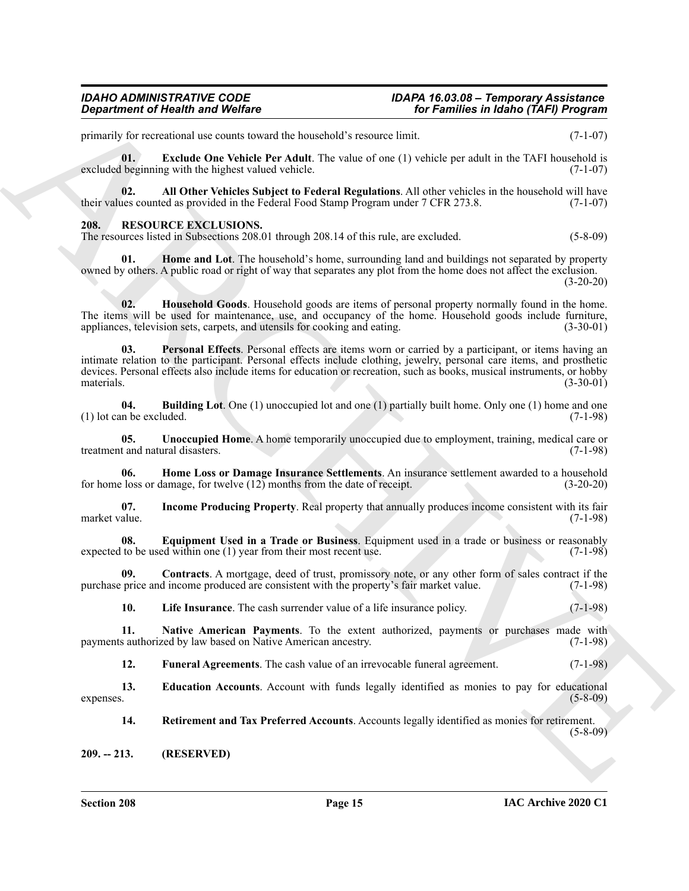## *Department of Health and Welfare for Families in Idaho (TAFI) Program*

## *IDAHO ADMINISTRATIVE CODE IDAPA 16.03.08 – Temporary Assistance*

primarily for recreational use counts toward the household's resource limit. (7-1-07)

<span id="page-14-18"></span>**01. Exclude One Vehicle Per Adult**. The value of one (1) vehicle per adult in the TAFI household is excluded beginning with the highest valued vehicle. (7-1-07)

<span id="page-14-17"></span>**02.** All Other Vehicles Subject to Federal Regulations. All other vehicles in the household will have use counted as provided in the Federal Food Stamp Program under 7 CFR 273.8. (7-1-07) their values counted as provided in the Federal Food Stamp Program under 7 CFR 273.8.

#### <span id="page-14-2"></span><span id="page-14-0"></span>**208. RESOURCE EXCLUSIONS.**

<span id="page-14-8"></span>The resources listed in Subsections 208.01 through 208.14 of this rule, are excluded. (5-8-09)

**01. Home and Lot**. The household's home, surrounding land and buildings not separated by property owned by others. A public road or right of way that separates any plot from the home does not affect the exclusion. (3-20-20)

<span id="page-14-14"></span><span id="page-14-10"></span>**02. Household Goods**. Household goods are items of personal property normally found in the home. The items will be used for maintenance, use, and occupancy of the home. Household goods include furniture, appliances, television sets, carpets, and utensils for cooking and eating. (3-30-01)

**Experiment of Nearly is and Wolfing<br>
Spin and Wolfing Street is a second term of the Newton-Research Street Limit (Section 2008)<br>
The Constraints of the United Street Accounts of the Constraints of the Constraints of the 03. Personal Effects**. Personal effects are items worn or carried by a participant, or items having an intimate relation to the participant. Personal effects include clothing, jewelry, personal care items, and prosthetic devices. Personal effects also include items for education or recreation, such as books, musical instruments, or hobby materials. (3-30-01) materials. (3-30-01)

<span id="page-14-3"></span>**04. Building Lot**. One (1) unoccupied lot and one (1) partially built home. Only one (1) home and one  $(1)$  lot can be excluded.

<span id="page-14-16"></span>**05. Unoccupied Home**. A home temporarily unoccupied due to employment, training, medical care or t and natural disasters. (7-1-98) treatment and natural disasters.

<span id="page-14-9"></span>**06. Home Loss or Damage Insurance Settlements**. An insurance settlement awarded to a household for home loss or damage, for twelve (12) months from the date of receipt. (3-20-20)

<span id="page-14-11"></span>**07.** Income Producing Property. Real property that annually produces income consistent with its fair market value. (7-1-98) market value. (7-1-98)

<span id="page-14-6"></span>**08. Equipment Used in a Trade or Business**. Equipment used in a trade or business or reasonably expected to be used within one (1) year from their most recent use. (7-1-98)

**09. Contracts**. A mortgage, deed of trust, promissory note, or any other form of sales contract if the purchase price and income produced are consistent with the property's fair market value. (7-1-98)

<span id="page-14-13"></span><span id="page-14-12"></span><span id="page-14-4"></span>**10.** Life Insurance. The cash surrender value of a life insurance policy. (7-1-98)

**11. Native American Payments**. To the extent authorized, payments or purchases made with s authorized by law based on Native American ancestry. (7-1-98) payments authorized by law based on Native American ancestry.

<span id="page-14-7"></span><span id="page-14-5"></span>**12.** Funeral Agreements. The cash value of an irrevocable funeral agreement. (7-1-98)

**13. Education Accounts**. Account with funds legally identified as monies to pay for educational  $expenses.$  (5-8-09)

<span id="page-14-15"></span>**14. Retirement and Tax Preferred Accounts**. Accounts legally identified as monies for retirement. (5-8-09)

<span id="page-14-1"></span>**209. -- 213. (RESERVED)**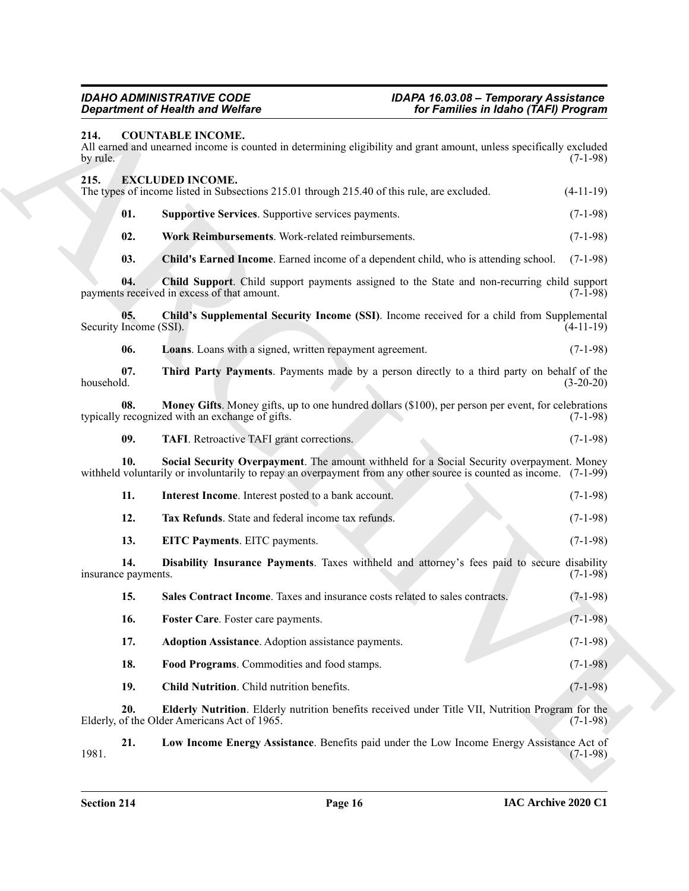<span id="page-15-24"></span><span id="page-15-23"></span><span id="page-15-22"></span><span id="page-15-21"></span><span id="page-15-20"></span><span id="page-15-19"></span><span id="page-15-18"></span><span id="page-15-17"></span><span id="page-15-16"></span><span id="page-15-15"></span><span id="page-15-14"></span><span id="page-15-13"></span><span id="page-15-12"></span><span id="page-15-11"></span><span id="page-15-10"></span><span id="page-15-9"></span><span id="page-15-8"></span><span id="page-15-7"></span><span id="page-15-6"></span><span id="page-15-5"></span><span id="page-15-4"></span><span id="page-15-3"></span><span id="page-15-2"></span><span id="page-15-1"></span><span id="page-15-0"></span>

| <b>Department of Health and Welfare</b>                                                                                                                             | for Families in Idaho (TAFI) Program                                                                              |
|---------------------------------------------------------------------------------------------------------------------------------------------------------------------|-------------------------------------------------------------------------------------------------------------------|
| 214.<br><b>COUNTABLE INCOME.</b><br>All earned and unearned income is counted in determining eligibility and grant amount, unless specifically excluded<br>by rule. | $(7-1-98)$                                                                                                        |
| 215.<br><b>EXCLUDED INCOME.</b><br>The types of income listed in Subsections 215.01 through 215.40 of this rule, are excluded.                                      | $(4-11-19)$                                                                                                       |
| 01.<br>Supportive Services. Supportive services payments.                                                                                                           | $(7-1-98)$                                                                                                        |
| 02.<br>Work Reimbursements. Work-related reimbursements.                                                                                                            | $(7-1-98)$                                                                                                        |
| 03.<br>Child's Earned Income. Earned income of a dependent child, who is attending school.                                                                          | $(7-1-98)$                                                                                                        |
| 04.<br>payments received in excess of that amount.                                                                                                                  | Child Support. Child support payments assigned to the State and non-recurring child support<br>$(7-1-98)$         |
| 05.<br>Security Income (SSI).                                                                                                                                       | Child's Supplemental Security Income (SSI). Income received for a child from Supplemental<br>$(4-11-19)$          |
| 06.<br>Loans. Loans with a signed, written repayment agreement.                                                                                                     | $(7-1-98)$                                                                                                        |
| 07.<br>household.                                                                                                                                                   | Third Party Payments. Payments made by a person directly to a third party on behalf of the<br>$(3-20-20)$         |
| 08.<br>typically recognized with an exchange of gifts.                                                                                                              | Money Gifts. Money gifts, up to one hundred dollars (\$100), per person per event, for celebrations<br>$(7-1-98)$ |
| 09.<br><b>TAFI.</b> Retroactive TAFI grant corrections.                                                                                                             | $(7-1-98)$                                                                                                        |
| 10.<br>withheld voluntarily or involuntarily to repay an overpayment from any other source is counted as income. (7-1-99)                                           | Social Security Overpayment. The amount withheld for a Social Security overpayment. Money                         |
| 11.<br>Interest Income. Interest posted to a bank account.                                                                                                          | $(7-1-98)$                                                                                                        |
| 12.<br>Tax Refunds. State and federal income tax refunds.                                                                                                           | $(7-1-98)$                                                                                                        |
| 13.<br>EITC Payments. EITC payments.                                                                                                                                | $(7-1-98)$                                                                                                        |
| 14.<br>insurance payments.                                                                                                                                          | Disability Insurance Payments. Taxes withheld and attorney's fees paid to secure disability<br>$(7-1-98)$         |
| 15.<br>Sales Contract Income. Taxes and insurance costs related to sales contracts.                                                                                 | $(7-1-98)$                                                                                                        |
| 16.<br>Foster Care. Foster care payments.                                                                                                                           | $(7-1-98)$                                                                                                        |
| 17.<br>Adoption Assistance. Adoption assistance payments.                                                                                                           | $(7-1-98)$                                                                                                        |
| 18.<br>Food Programs. Commodities and food stamps.                                                                                                                  | $(7-1-98)$                                                                                                        |
| 19.<br>Child Nutrition. Child nutrition benefits.                                                                                                                   | $(7-1-98)$                                                                                                        |
| 20.<br>Elderly, of the Older Americans Act of 1965.                                                                                                                 | Elderly Nutrition. Elderly nutrition benefits received under Title VII, Nutrition Program for the<br>$(7-1-98)$   |
|                                                                                                                                                                     | Low Income Energy Assistance. Benefits paid under the Low Income Energy Assistance Act of                         |
| 21.<br>1981.                                                                                                                                                        | $(7-1-98)$                                                                                                        |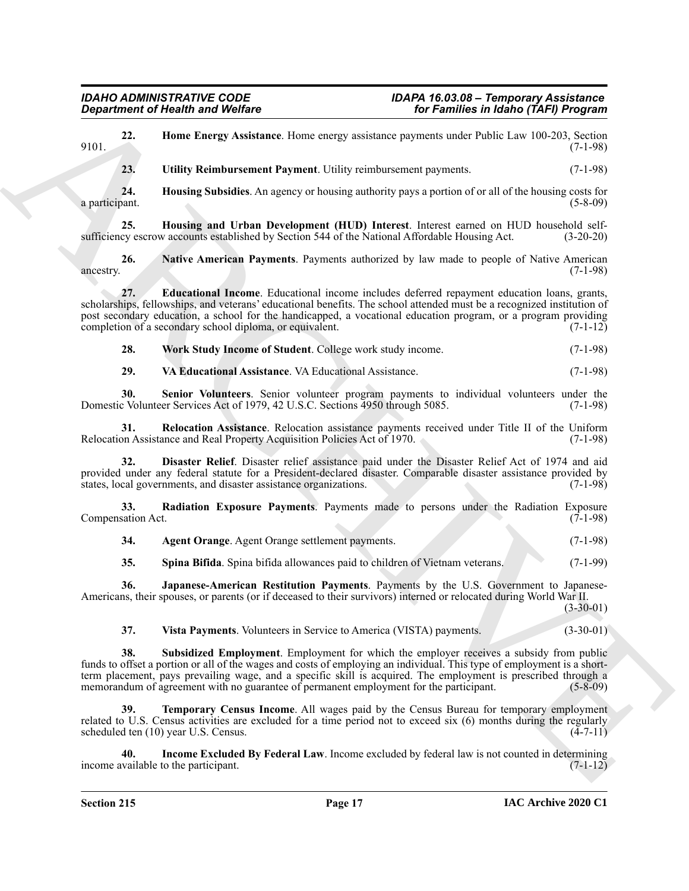<span id="page-16-18"></span><span id="page-16-16"></span><span id="page-16-15"></span><span id="page-16-11"></span><span id="page-16-8"></span><span id="page-16-5"></span><span id="page-16-4"></span><span id="page-16-3"></span><span id="page-16-2"></span>**Expansion of Nically and Wolfing<br>
23.** Unite Restrict Associates these energy and these structures in the Fourier of Wolf Level 2002-2013<br>
24. Unite Reinforcement Popment Unite energy and the system of population of a st **22. Home Energy Assistance**. Home energy assistance payments under Public Law 100-203, Section (7-1-98) 9101. (7-1-98) **23. Utility Reimbursement Payment**. Utility reimbursement payments. (7-1-98) **24. Housing Subsidies**. An agency or housing authority pays a portion of or all of the housing costs for a participant. **25. Housing and Urban Development (HUD) Interest**. Interest earned on HUD household selfsufficiency escrow accounts established by Section 544 of the National Affordable Housing Act. (3-20-20) **26.** Native American Payments. Payments authorized by law made to people of Native American (7-1-98) ancestry. (7-1-98) **27. Educational Income**. Educational income includes deferred repayment education loans, grants, scholarships, fellowships, and veterans' educational benefits. The school attended must be a recognized institution of post secondary education, a school for the handicapped, a vocational education program, or a program providing completion of a secondary school diploma, or equivalent.  $(7-1-12)$ **28. Work Study Income of Student**. College work study income. (7-1-98) **29. VA Educational Assistance**. VA Educational Assistance. (7-1-98) **30. Senior Volunteers**. Senior volunteer program payments to individual volunteers under the Domestic Volunteer Services Act of 1979, 42 U.S.C. Sections 4950 through 5085. (7-1-98) **31. Relocation Assistance**. Relocation assistance payments received under Title II of the Uniform Relocation Assistance and Real Property Acquisition Policies Act of 1970. (7-1-98) **32. Disaster Relief**. Disaster relief assistance paid under the Disaster Relief Act of 1974 and aid provided under any federal statute for a President-declared disaster. Comparable disaster assistance provided by states, local governments, and disaster assistance organizations. (7-1-98) **33. Radiation Exposure Payments**. Payments made to persons under the Radiation Exposure sation Act. (7-1-98) Compensation Act. **34. Agent Orange**. Agent Orange settlement payments. (7-1-98) **35. Spina Bifida**. Spina bifida allowances paid to children of Vietnam veterans. (7-1-99) **36. Japanese-American Restitution Payments**. Payments by the U.S. Government to Japanese-Americans, their spouses, or parents (or if deceased to their survivors) interned or relocated during World War II. (3-30-01) **37. Vista Payments**. Volunteers in Service to America (VISTA) payments. (3-30-01) **38. Subsidized Employment**. Employment for which the employer receives a subsidy from public funds to offset a portion or all of the wages and costs of employing an individual. This type of employment is a shortterm placement, pays prevailing wage, and a specific skill is acquired. The employment is prescribed through a<br>memorandum of agreement with no guarantee of permanent employment for the participant. (5-8-09) memorandum of agreement with no guarantee of permanent employment for the participant. **Temporary Census Income.** All wages paid by the Census Bureau for temporary employment related to U.S. Census activities are excluded for a time period not to exceed six (6) months during the regularly scheduled ten (10) year U.S. Census. (4-7-11)

<span id="page-16-17"></span><span id="page-16-14"></span><span id="page-16-13"></span><span id="page-16-12"></span><span id="page-16-10"></span><span id="page-16-9"></span><span id="page-16-7"></span><span id="page-16-6"></span><span id="page-16-1"></span><span id="page-16-0"></span>**40. Income Excluded By Federal Law**. Income excluded by federal law is not counted in determining income available to the participant. (7-1-12)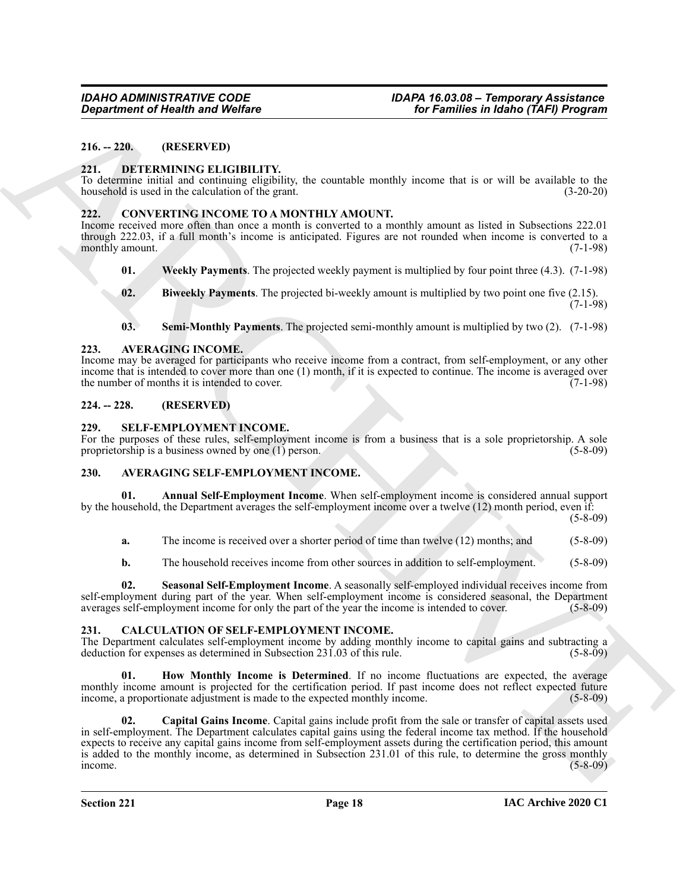#### <span id="page-17-0"></span>**216. -- 220. (RESERVED)**

#### <span id="page-17-19"></span><span id="page-17-1"></span>**221. DETERMINING ELIGIBILITY.**

To determine initial and continuing eligibility, the countable monthly income that is or will be available to the household is used in the calculation of the grant. (3-20-20)

#### <span id="page-17-15"></span><span id="page-17-2"></span>**222. CONVERTING INCOME TO A MONTHLY AMOUNT.**

Income received more often than once a month is converted to a monthly amount as listed in Subsections 222.01 through 222.03, if a full month's income is anticipated. Figures are not rounded when income is converted to a monthly amount. (7-1-98) (3.1)

- <span id="page-17-18"></span>**01. Weekly Payments**. The projected weekly payment is multiplied by four point three (4.3). (7-1-98)
- <span id="page-17-16"></span>**02.** Biweekly Payments. The projected bi-weekly amount is multiplied by two point one five (2.15).  $(7-1-98)$
- <span id="page-17-17"></span><span id="page-17-8"></span>**03. Semi-Monthly Payments**. The projected semi-monthly amount is multiplied by two (2). (7-1-98)

#### <span id="page-17-3"></span>**223. AVERAGING INCOME.**

Income may be averaged for participants who receive income from a contract, from self-employment, or any other income that is intended to cover more than one (1) month, if it is expected to continue. The income is averaged over<br>the number of months it is intended to cover. (7-1-98) the number of months it is intended to cover.

#### <span id="page-17-4"></span>**224. -- 228. (RESERVED)**

#### <span id="page-17-20"></span><span id="page-17-5"></span>**229. SELF-EMPLOYMENT INCOME.**

For the purposes of these rules, self-employment income is from a business that is a sole proprietorship. A sole proprietorship is a business owned by one (1) person. (5-8-09)

#### <span id="page-17-9"></span><span id="page-17-6"></span>**230. AVERAGING SELF-EMPLOYMENT INCOME.**

**Annual Self-Employment Income**. When self-employment income is considered annual support by the household, the Department averages the self-employment income over a twelve (12) month period, even if:

(5-8-09)

<span id="page-17-10"></span>**a.** The income is received over a shorter period of time than twelve (12) months; and (5-8-09)

<span id="page-17-11"></span>**b.** The household receives income from other sources in addition to self-employment. (5-8-09)

**02. Seasonal Self-Employment Income**. A seasonally self-employed individual receives income from self-employment during part of the year. When self-employment income is considered seasonal, the Department averages self-employment income for only the part of the year the income is intended to cover. (5-8-09)

#### <span id="page-17-12"></span><span id="page-17-7"></span>**231. CALCULATION OF SELF-EMPLOYMENT INCOME.**

The Department calculates self-employment income by adding monthly income to capital gains and subtracting a deduction for expenses as determined in Subsection 231.03 of this rule. (5-8-09)

<span id="page-17-14"></span><span id="page-17-13"></span>**01. How Monthly Income is Determined**. If no income fluctuations are expected, the average monthly income amount is projected for the certification period. If past income does not reflect expected future income, a proportionate adjustment is made to the expected monthly income. (5-8-09)

**Equivariant of Newth Payer Welfare**<br>
16*x* Families in Malon (7AF) Program<br>
16. 2210. **OREENLY INTERNATIVE EXCIPTS**<br>
221. **OREENLY INTERNATIVE CALCULATIVE**<br>
231. **CONVERTING PRODUCTIVE**<br>
232. **CONVERTING PRODUCTIVE CONTI 02. Capital Gains Income**. Capital gains include profit from the sale or transfer of capital assets used in self-employment. The Department calculates capital gains using the federal income tax method. If the household expects to receive any capital gains income from self-employment assets during the certification period, this amount is added to the monthly income, as determined in Subsection 231.01 of this rule, to determine the gross monthly  $i$  income. (5-8-09)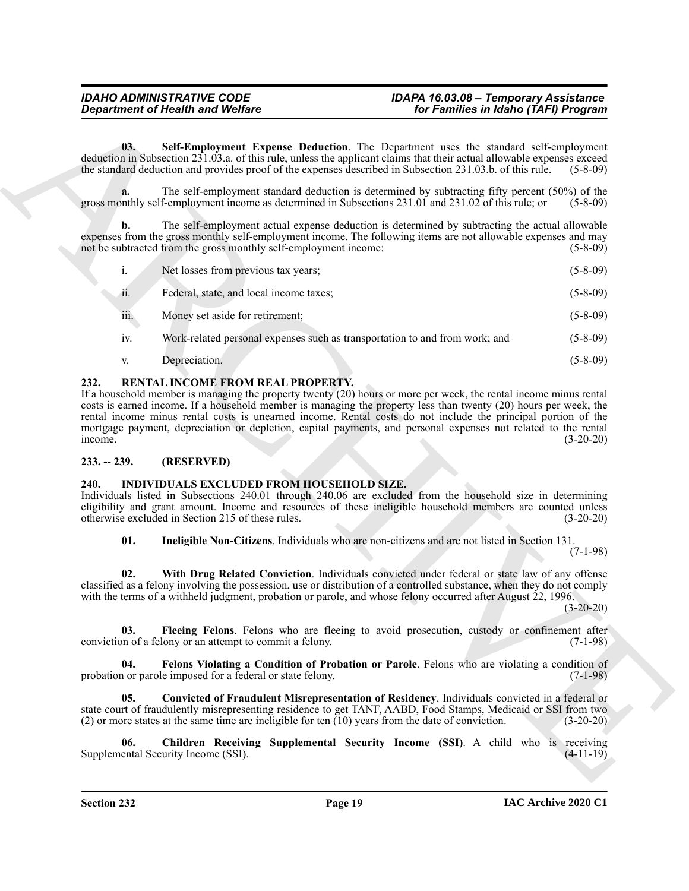<span id="page-18-3"></span>**03. Self-Employment Expense Deduction**. The Department uses the standard self-employment deduction in Subsection 231.03.a. of this rule, unless the applicant claims that their actual allowable expenses exceed the standard deduction and provides proof of the expenses described in Subsection 231.03.b. of this r the standard deduction and provides proof of the expenses described in Subsection 231.03.b. of this rule.

The self-employment standard deduction is determined by subtracting fifty percent (50%) of the f-employment income as determined in Subsections 231.01 and 231.02 of this rule; or (5-8-09) gross monthly self-employment income as determined in Subsections 231.01 and 231.02 of this rule; or

**b.** The self-employment actual expense deduction is determined by subtracting the actual allowable expenses from the gross monthly self-employment income. The following items are not allowable expenses and may<br>not be subtracted from the gross monthly self-employment income: (5-8-09) not be subtracted from the gross monthly self-employment income:

- **Considered of Nearly and Wolfare**<br> **Considered and Wolfare**<br> **Considered and Nearly Benefits and Nearly Designing The Designing and Society and Society and Society and Society and Society and Nearly Benefits and Nearly B** i. Net losses from previous tax years; (5-8-09) ii. Federal, state, and local income taxes; (5-8-09) iii. Money set aside for retirement; (5-8-09)
	- iv. Work-related personal expenses such as transportation to and from work; and (5-8-09)
	- v. Depreciation. (5-8-09)

#### <span id="page-18-5"></span><span id="page-18-0"></span>**232. RENTAL INCOME FROM REAL PROPERTY.**

If a household member is managing the property twenty (20) hours or more per week, the rental income minus rental costs is earned income. If a household member is managing the property less than twenty (20) hours per week, the rental income minus rental costs is unearned income. Rental costs do not include the principal portion of the mortgage payment, depreciation or depletion, capital payments, and personal expenses not related to the rental income. income. (3-20-20)

#### <span id="page-18-1"></span>**233. -- 239. (RESERVED)**

#### <span id="page-18-4"></span><span id="page-18-2"></span>**240. INDIVIDUALS EXCLUDED FROM HOUSEHOLD SIZE.**

Individuals listed in Subsections 240.01 through 240.06 are excluded from the household size in determining eligibility and grant amount. Income and resources of these ineligible household members are counted unless otherwise excluded in Section 215 of these rules. (3-20-20)

**01. Ineligible Non-Citizens**. Individuals who are non-citizens and are not listed in Section 131. (7-1-98)

**02. With Drug Related Conviction**. Individuals convicted under federal or state law of any offense classified as a felony involving the possession, use or distribution of a controlled substance, when they do not comply with the terms of a withheld judgment, probation or parole, and whose felony occurred after August 22, 1996.

(3-20-20)

**03. Fleeing Felons**. Felons who are fleeing to avoid prosecution, custody or confinement after on of a felony or an attempt to commit a felony. (7-1-98) conviction of a felony or an attempt to commit a felony.

**04. Felons Violating a Condition of Probation or Parole**. Felons who are violating a condition of probation or parole imposed for a federal or state felony. (7-1-98)

**05. Convicted of Fraudulent Misrepresentation of Residency**. Individuals convicted in a federal or state court of fraudulently misrepresenting residence to get TANF, AABD, Food Stamps, Medicaid or SSI from two (2) or more states at the same time are ineligible for ten (10) years from the date of conviction. (3-20-20)

**06. Children Receiving Supplemental Security Income (SSI)**. A child who is receiving ental Security Income (SSI). (4-11-19) Supplemental Security Income (SSI).

**Section 232 Page 19**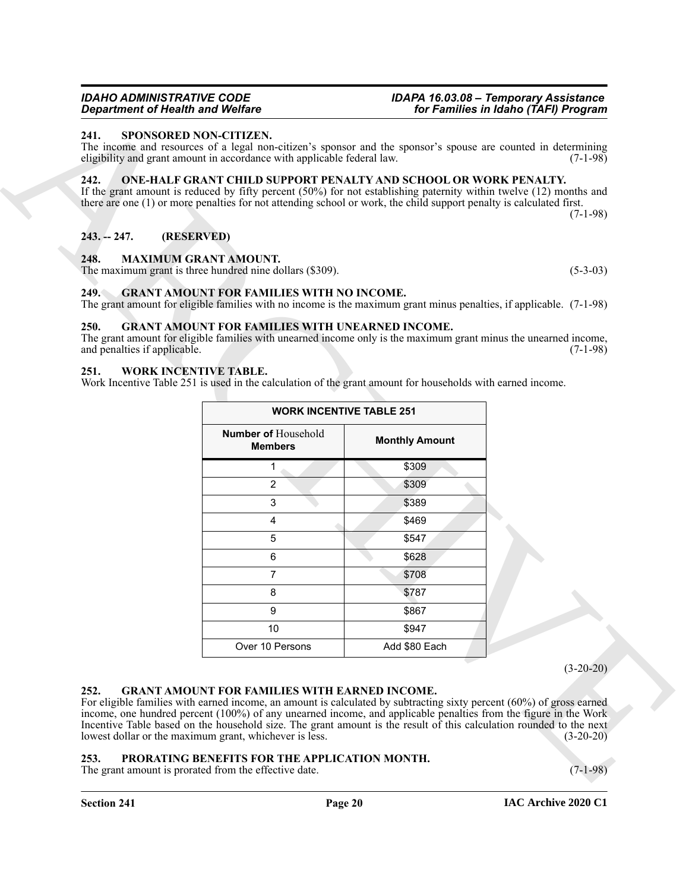#### <span id="page-19-15"></span><span id="page-19-0"></span>**241. SPONSORED NON-CITIZEN.**

#### <span id="page-19-13"></span><span id="page-19-1"></span>**242. ONE-HALF GRANT CHILD SUPPORT PENALTY AND SCHOOL OR WORK PENALTY.**

#### <span id="page-19-12"></span><span id="page-19-3"></span><span id="page-19-2"></span>**248. MAXIMUM GRANT AMOUNT.**

#### <span id="page-19-10"></span><span id="page-19-4"></span>**249. GRANT AMOUNT FOR FAMILIES WITH NO INCOME.** The grant amount for eligible families with no income is the maximum grant minus penalties, if applicable. (7-1-98)

#### <span id="page-19-11"></span><span id="page-19-5"></span>**250. GRANT AMOUNT FOR FAMILIES WITH UNEARNED INCOME.**

#### <span id="page-19-16"></span><span id="page-19-6"></span>**251. WORK INCENTIVE TABLE.**

| <b>Department of Health and Welfare</b> |                                                                                                                | for Families in Idaho (TAFI) Program                                                                                                                                                                                                                                                                                                                           |             |
|-----------------------------------------|----------------------------------------------------------------------------------------------------------------|----------------------------------------------------------------------------------------------------------------------------------------------------------------------------------------------------------------------------------------------------------------------------------------------------------------------------------------------------------------|-------------|
| 241.<br>SPONSORED NON-CITIZEN.          | eligibility and grant amount in accordance with applicable federal law.                                        | The income and resources of a legal non-citizen's sponsor and the sponsor's spouse are counted in determining                                                                                                                                                                                                                                                  | $(7-1-98)$  |
| 242.                                    |                                                                                                                | ONE-HALF GRANT CHILD SUPPORT PENALTY AND SCHOOL OR WORK PENALTY.<br>If the grant amount is reduced by fifty percent $(50%)$ for not establishing paternity within twelve $(12)$ months and<br>there are one (1) or more penalties for not attending school or work, the child support penalty is calculated first.                                             | $(7-1-98)$  |
| (RESERVED)<br>$243. - 247.$             |                                                                                                                |                                                                                                                                                                                                                                                                                                                                                                |             |
| 248.<br><b>MAXIMUM GRANT AMOUNT.</b>    | The maximum grant is three hundred nine dollars (\$309).                                                       |                                                                                                                                                                                                                                                                                                                                                                | $(5-3-03)$  |
| 249.                                    | <b>GRANT AMOUNT FOR FAMILIES WITH NO INCOME.</b>                                                               | The grant amount for eligible families with no income is the maximum grant minus penalties, if applicable. (7-1-98)                                                                                                                                                                                                                                            |             |
| 250.<br>and penalties if applicable.    | <b>GRANT AMOUNT FOR FAMILIES WITH UNEARNED INCOME.</b>                                                         | The grant amount for eligible families with unearned income only is the maximum grant minus the unearned income,                                                                                                                                                                                                                                               | $(7-1-98)$  |
| WORK INCENTIVE TABLE.<br>251.           |                                                                                                                | Work Incentive Table 251 is used in the calculation of the grant amount for households with earned income.                                                                                                                                                                                                                                                     |             |
|                                         | <b>WORK INCENTIVE TABLE 251</b>                                                                                |                                                                                                                                                                                                                                                                                                                                                                |             |
|                                         | Number of Household<br><b>Members</b>                                                                          | <b>Monthly Amount</b>                                                                                                                                                                                                                                                                                                                                          |             |
|                                         | 1                                                                                                              | \$309                                                                                                                                                                                                                                                                                                                                                          |             |
|                                         | 2                                                                                                              | \$309                                                                                                                                                                                                                                                                                                                                                          |             |
|                                         | 3                                                                                                              | \$389                                                                                                                                                                                                                                                                                                                                                          |             |
|                                         | 4                                                                                                              | \$469                                                                                                                                                                                                                                                                                                                                                          |             |
|                                         | 5                                                                                                              | \$547                                                                                                                                                                                                                                                                                                                                                          |             |
|                                         | 6                                                                                                              | \$628                                                                                                                                                                                                                                                                                                                                                          |             |
|                                         | $\overline{7}$                                                                                                 | \$708                                                                                                                                                                                                                                                                                                                                                          |             |
|                                         | 8                                                                                                              | \$787                                                                                                                                                                                                                                                                                                                                                          |             |
|                                         | 9                                                                                                              | \$867                                                                                                                                                                                                                                                                                                                                                          |             |
|                                         | 10                                                                                                             | \$947                                                                                                                                                                                                                                                                                                                                                          |             |
|                                         | Over 10 Persons                                                                                                | Add \$80 Each                                                                                                                                                                                                                                                                                                                                                  |             |
|                                         |                                                                                                                |                                                                                                                                                                                                                                                                                                                                                                | $(3-20-20)$ |
| 252.                                    | <b>GRANT AMOUNT FOR FAMILIES WITH EARNED INCOME.</b><br>lowest dollar or the maximum grant, whichever is less. | For eligible families with earned income, an amount is calculated by subtracting sixty percent (60%) of gross earned<br>income, one hundred percent (100%) of any unearned income, and applicable penalties from the figure in the Work<br>Incentive Table based on the household size. The grant amount is the result of this calculation rounded to the next | $(3-20-20)$ |
| 253.                                    | PRORATING BENEFITS FOR THE APPLICATION MONTH.                                                                  |                                                                                                                                                                                                                                                                                                                                                                |             |

#### <span id="page-19-9"></span><span id="page-19-7"></span>**252. GRANT AMOUNT FOR FAMILIES WITH EARNED INCOME.**

#### <span id="page-19-14"></span><span id="page-19-8"></span>**253. PRORATING BENEFITS FOR THE APPLICATION MONTH.**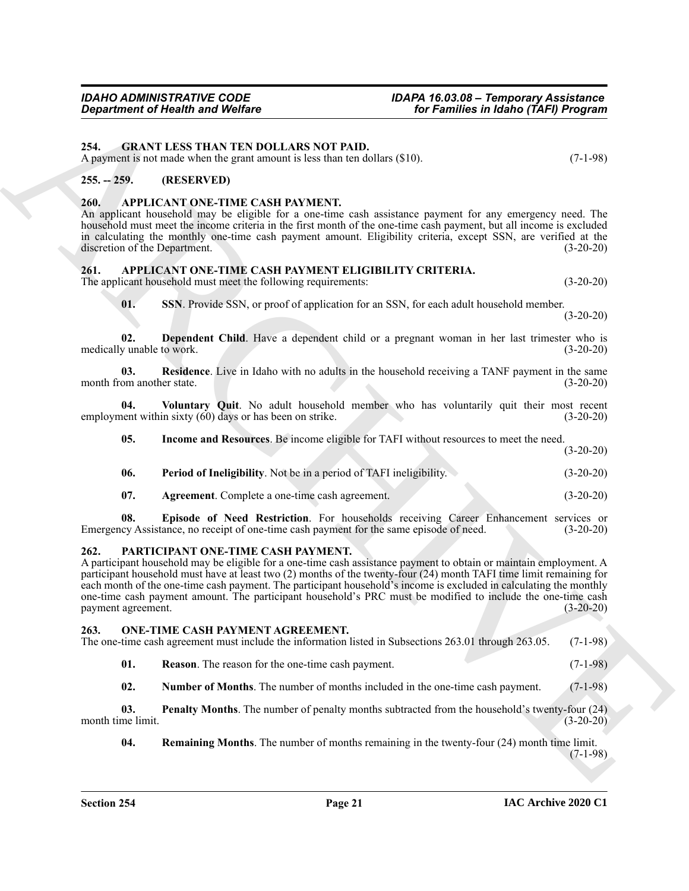<span id="page-20-16"></span><span id="page-20-0"></span>**254. GRANT LESS THAN TEN DOLLARS NOT PAID.**

A payment is not made when the grant amount is less than ten dollars (\$10). (7-1-98)

#### <span id="page-20-1"></span>**255. -- 259. (RESERVED)**

#### <span id="page-20-6"></span><span id="page-20-2"></span>**260. APPLICANT ONE-TIME CASH PAYMENT.**

An applicant household may be eligible for a one-time cash assistance payment for any emergency need. The household must meet the income criteria in the first month of the one-time cash payment, but all income is excluded in calculating the monthly one-time cash payment amount. Eligibility criteria, except SSN, are verified at the discretion of the Department. (3-20-20)

#### <span id="page-20-7"></span><span id="page-20-3"></span>**261. APPLICANT ONE-TIME CASH PAYMENT ELIGIBILITY CRITERIA.**

The applicant household must meet the following requirements:  $(3-20-20)$ 

<span id="page-20-14"></span><span id="page-20-13"></span><span id="page-20-9"></span>**01. SSN**. Provide SSN, or proof of application for an SSN, for each adult household member.

(3-20-20)

**02. Dependent Child**. Have a dependent child or a pregnant woman in her last trimester who is medically unable to work. (3-20-20)

**03.** Residence. Live in Idaho with no adults in the household receiving a TANF payment in the same om another state. (3-20-20) month from another state.

**04.** Voluntary Quit. No adult household member who has voluntarily quit their most recent version of the version of strike. employment within sixty  $(60)$  days or has been on strike.

<span id="page-20-15"></span><span id="page-20-11"></span>**05. Income and Resources**. Be income eligible for TAFI without resources to meet the need. (3-20-20)

<span id="page-20-12"></span>

| 06. | <b>Period of Ineligibility.</b> Not be in a period of TAFI ineligibility. |  | $(3-20-20)$ |
|-----|---------------------------------------------------------------------------|--|-------------|
|     |                                                                           |  |             |

<span id="page-20-10"></span><span id="page-20-8"></span>**07. Agreement**. Complete a one-time cash agreement. (3-20-20)

**08. Episode of Need Restriction**. For households receiving Career Enhancement services or Emergency Assistance, no receipt of one-time cash payment for the same episode of need. (3-20-20)

#### <span id="page-20-22"></span><span id="page-20-4"></span>**262. PARTICIPANT ONE-TIME CASH PAYMENT.**

Gegardment of Health and Wolfrey<br>
24. GRANT ERIS THE LADIS NOT PAID, The Fourier in the formula of the pair of the state of the state of the state of the state of the state of the state of the state of the state of the st A participant household may be eligible for a one-time cash assistance payment to obtain or maintain employment. A participant household must have at least two (2) months of the twenty-four (24) month TAFI time limit remaining for each month of the one-time cash payment. The participant household's income is excluded in calculating the monthly one-time cash payment amount. The participant household's PRC must be modified to include the one-time cash payment agreement. (3-20-20)

#### <span id="page-20-17"></span><span id="page-20-5"></span>**263. ONE-TIME CASH PAYMENT AGREEMENT.**

The one-time cash agreement must include the information listed in Subsections 263.01 through 263.05. (7-1-98)

<span id="page-20-20"></span>**01. Reason**. The reason for the one-time cash payment. (7-1-98)

<span id="page-20-19"></span><span id="page-20-18"></span>**02.** Number of Months. The number of months included in the one-time cash payment. (7-1-98)

**03. Penalty Months**. The number of penalty months subtracted from the household's twenty-four (24) month time limit.  $(3-20-20)$ 

<span id="page-20-21"></span>**04. Remaining Months**. The number of months remaining in the twenty-four (24) month time limit. (7-1-98)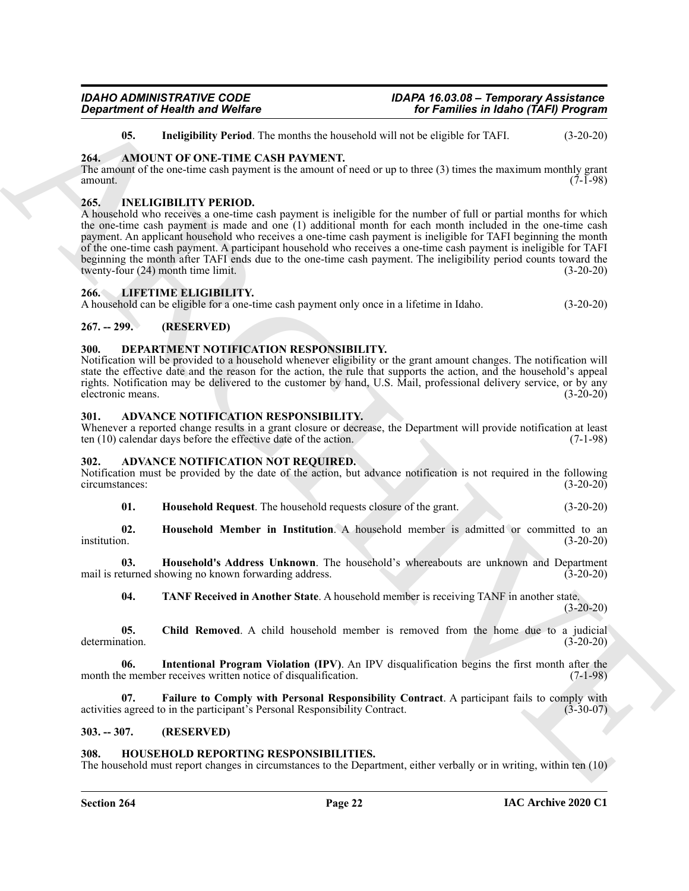determination.

#### **IAC Archive 2020 C1**

**07. Failure to Comply with Personal Responsibility Contract**. A participant fails to comply with activities agreed to in the participant's Personal Responsibility Contract. (3-30-07)

#### <span id="page-21-7"></span>**303. -- 307. (RESERVED)**

#### <span id="page-21-17"></span><span id="page-21-8"></span>**308. HOUSEHOLD REPORTING RESPONSIBILITIES.**

month the member receives written notice of disqualification.

The household must report changes in circumstances to the Department, either verbally or in writing, within ten (10)

*IDAHO ADMINISTRATIVE CODE IDAPA 16.03.08 – Temporary Assistance Department of Health and Welfare for Families in Idaho (TAFI) Program*

<span id="page-21-20"></span><span id="page-21-15"></span>**05. Ineligibility Period**. The months the household will not be eligible for TAFI. (3-20-20)

#### <span id="page-21-0"></span>**264. AMOUNT OF ONE-TIME CASH PAYMENT.**

The amount of the one-time cash payment is the amount of need or up to three (3) times the maximum monthly grant amount.  $(7-1-98)$ 

#### <span id="page-21-18"></span><span id="page-21-1"></span>**265. INELIGIBILITY PERIOD.**

*Great from the Highlin Evre Collision* **Control in the second of the Archives in Refshering Control in the Collision Control in the Collision Control in the Collision Control in the Collision Control in the Collision Con** A household who receives a one-time cash payment is ineligible for the number of full or partial months for which the one-time cash payment is made and one (1) additional month for each month included in the one-time cash payment. An applicant household who receives a one-time cash payment is ineligible for TAFI beginning the month of the one-time cash payment. A participant household who receives a one-time cash payment is ineligible for TAFI beginning the month after TAFI ends due to the one-time cash payment. The ineligibility period counts toward the twenty-four (24) month time limit. (3-20-20) twenty-four  $(24)$  month time limit.

#### <span id="page-21-19"></span><span id="page-21-2"></span>**266. LIFETIME ELIGIBILITY.**

A household can be eligible for a one-time cash payment only once in a lifetime in Idaho. (3-20-20)

#### <span id="page-21-3"></span>**267. -- 299. (RESERVED)**

#### <span id="page-21-16"></span><span id="page-21-4"></span>**300. DEPARTMENT NOTIFICATION RESPONSIBILITY.**

Notification will be provided to a household whenever eligibility or the grant amount changes. The notification will state the effective date and the reason for the action, the rule that supports the action, and the household's appeal rights. Notification may be delivered to the customer by hand, U.S. Mail, professional delivery service, or by any electronic means. (3-20-20)

#### <span id="page-21-14"></span><span id="page-21-5"></span>**301. ADVANCE NOTIFICATION RESPONSIBILITY.**

Whenever a reported change results in a grant closure or decrease, the Department will provide notification at least ten (10) calendar days before the effective date of the action. (7-1-98)

#### <span id="page-21-9"></span><span id="page-21-6"></span>**302. ADVANCE NOTIFICATION NOT REQUIRED.**

Notification must be provided by the date of the action, but advance notification is not required in the following circumstances: (3-20-20)

**01. Household Request**. The household requests closure of the grant. (3-20-20)

**02.** Household Member in Institution. A household member is admitted or committed to an institution. (3-20-20) institution. (3-20-20)

**03. Household's Address Unknown**. The household's whereabouts are unknown and Department turned showing no known forwarding address. (3-20-20) mail is returned showing no known forwarding address.

<span id="page-21-13"></span>**04. TANF Received in Another State**. A household member is receiving TANF in another state.

<span id="page-21-10"></span>**05.** Child Removed. A child household member is removed from the home due to a judicial (3-20-20)

<span id="page-21-12"></span><span id="page-21-11"></span>**06. Intentional Program Violation (IPV)**. An IPV disqualification begins the first month after the nember receives written notice of disqualification. (7-1-98)

 $(3-20-20)$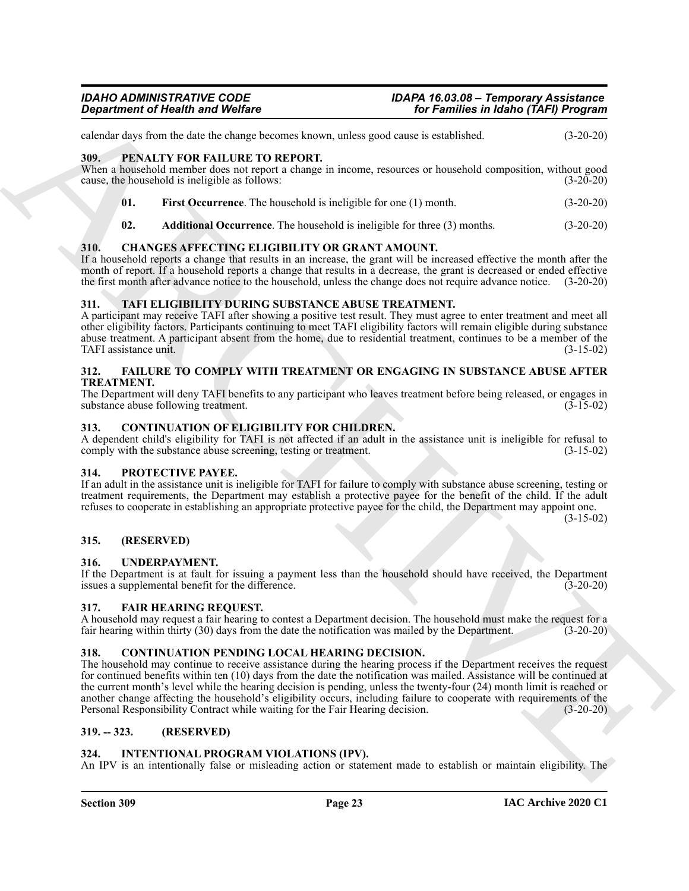calendar days from the date the change becomes known, unless good cause is established. (3-20-20)

#### <span id="page-22-18"></span><span id="page-22-0"></span>**309. PENALTY FOR FAILURE TO REPORT.**

When a household member does not report a change in income, resources or household composition, without good cause, the household is ineligible as follows: (3-20-20)

- <span id="page-22-20"></span>**01. First Occurrence**. The household is ineligible for one (1) month. (3-20-20)
- <span id="page-22-19"></span><span id="page-22-12"></span>**02. Additional Occurrence**. The household is ineligible for three (3) months. (3-20-20)

#### <span id="page-22-1"></span>**310. CHANGES AFFECTING ELIGIBILITY OR GRANT AMOUNT.**

If a household reports a change that results in an increase, the grant will be increased effective the month after the month of report. If a household reports a change that results in a decrease, the grant is decreased or ended effective the first month after advance notice to the household, unless the change does not require advance notice. (3-20-20)

#### <span id="page-22-22"></span><span id="page-22-2"></span>**311. TAFI ELIGIBILITY DURING SUBSTANCE ABUSE TREATMENT.**

A participant may receive TAFI after showing a positive test result. They must agree to enter treatment and meet all other eligibility factors. Participants continuing to meet TAFI eligibility factors will remain eligible during substance abuse treatment. A participant absent from the home, due to residential treatment, continues to be a member of the TAFI assistance unit. (3-15-02)

#### <span id="page-22-15"></span><span id="page-22-3"></span>**312. FAILURE TO COMPLY WITH TREATMENT OR ENGAGING IN SUBSTANCE ABUSE AFTER TREATMENT.**

The Department will deny TAFI benefits to any participant who leaves treatment before being released, or engages in substance abuse following treatment. (3-15-02)

#### <span id="page-22-13"></span><span id="page-22-4"></span>**313. CONTINUATION OF ELIGIBILITY FOR CHILDREN.**

A dependent child's eligibility for TAFI is not affected if an adult in the assistance unit is ineligible for refusal to comply with the substance abuse screening, testing or treatment. (3-15-02)

#### <span id="page-22-21"></span><span id="page-22-5"></span>**314. PROTECTIVE PAYEE.**

If an adult in the assistance unit is ineligible for TAFI for failure to comply with substance abuse screening, testing or treatment requirements, the Department may establish a protective payee for the benefit of the child. If the adult refuses to cooperate in establishing an appropriate protective payee for the child, the Department may appoint one.

(3-15-02)

#### <span id="page-22-6"></span>**315. (RESERVED)**

#### <span id="page-22-23"></span><span id="page-22-7"></span>**316. UNDERPAYMENT.**

If the Department is at fault for issuing a payment less than the household should have received, the Department issues a supplemental benefit for the difference. (3-20-20)

#### <span id="page-22-16"></span><span id="page-22-8"></span>**317. FAIR HEARING REQUEST.**

A household may request a fair hearing to contest a Department decision. The household must make the request for a fair hearing within thirty (30) days from the date the notification was mailed by the Department. (3-20-20)

#### <span id="page-22-14"></span><span id="page-22-9"></span>**318. CONTINUATION PENDING LOCAL HEARING DECISION.**

**Equivariant of Nearly Workes**<br>
Strengthend of Nearly Workes<br>
Strengthend of Nearly Workes Constructions a linear construction and the strengthend of Nearly Constructions (Section 2013)<br>
MRL FRANCHIVE CONSTRUCTION (Sectio The household may continue to receive assistance during the hearing process if the Department receives the request for continued benefits within ten (10) days from the date the notification was mailed. Assistance will be continued at the current month's level while the hearing decision is pending, unless the twenty-four (24) month limit is reached or another change affecting the household's eligibility occurs, including failure to cooperate with requirements of the Personal Responsibility Contract while waiting for the Fair Hearing decision. (3-20-20)

#### <span id="page-22-10"></span>**319. -- 323. (RESERVED)**

#### <span id="page-22-17"></span><span id="page-22-11"></span>**324. INTENTIONAL PROGRAM VIOLATIONS (IPV).**

An IPV is an intentionally false or misleading action or statement made to establish or maintain eligibility. The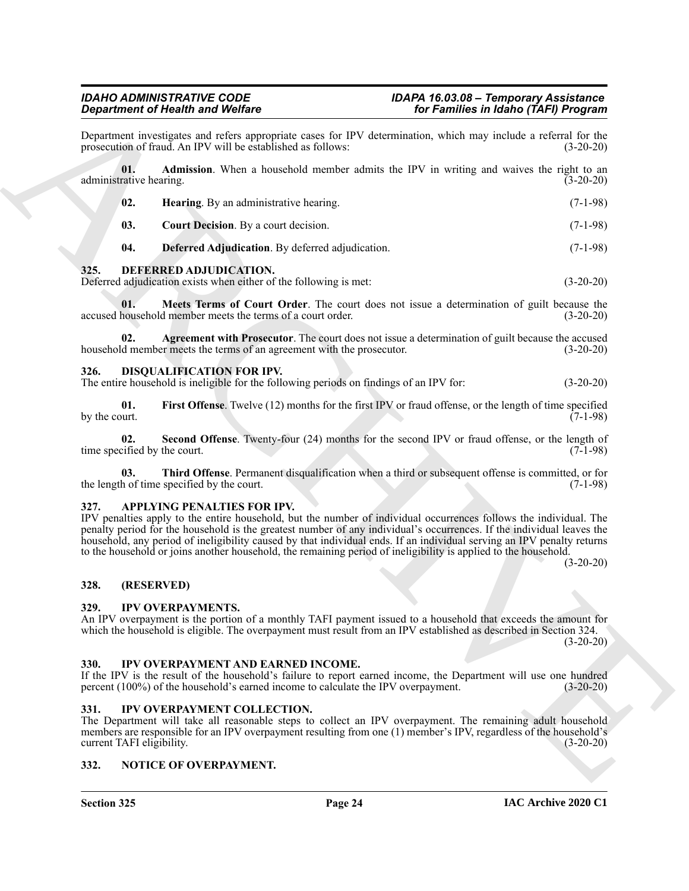|                                | <b>Department of Health and Welfare</b>                                                                                     | for Families in Idaho (TAFI) Program                                                                                                                                                                                                                                                                                                                                                                                                                                                                   |
|--------------------------------|-----------------------------------------------------------------------------------------------------------------------------|--------------------------------------------------------------------------------------------------------------------------------------------------------------------------------------------------------------------------------------------------------------------------------------------------------------------------------------------------------------------------------------------------------------------------------------------------------------------------------------------------------|
|                                | prosecution of fraud. An IPV will be established as follows:                                                                | Department investigates and refers appropriate cases for IPV determination, which may include a referral for the<br>$(3-20-20)$                                                                                                                                                                                                                                                                                                                                                                        |
| 01.<br>administrative hearing. |                                                                                                                             | Admission. When a household member admits the IPV in writing and waives the right to an<br>$(3-20-20)$                                                                                                                                                                                                                                                                                                                                                                                                 |
| 02.                            | Hearing. By an administrative hearing.                                                                                      | $(7-1-98)$                                                                                                                                                                                                                                                                                                                                                                                                                                                                                             |
| 03.                            | Court Decision. By a court decision.                                                                                        | $(7-1-98)$                                                                                                                                                                                                                                                                                                                                                                                                                                                                                             |
| 04.                            | Deferred Adjudication. By deferred adjudication.                                                                            | $(7-1-98)$                                                                                                                                                                                                                                                                                                                                                                                                                                                                                             |
| 325.                           | DEFERRED ADJUDICATION.<br>Deferred adjudication exists when either of the following is met:                                 | $(3-20-20)$                                                                                                                                                                                                                                                                                                                                                                                                                                                                                            |
| 01.                            | accused household member meets the terms of a court order.                                                                  | Meets Terms of Court Order. The court does not issue a determination of guilt because the<br>$(3-20-20)$                                                                                                                                                                                                                                                                                                                                                                                               |
| 02.                            | household member meets the terms of an agreement with the prosecutor.                                                       | Agreement with Prosecutor. The court does not issue a determination of guilt because the accused<br>$(3-20-20)$                                                                                                                                                                                                                                                                                                                                                                                        |
| 326.                           | <b>DISQUALIFICATION FOR IPV.</b><br>The entire household is ineligible for the following periods on findings of an IPV for: | $(3-20-20)$                                                                                                                                                                                                                                                                                                                                                                                                                                                                                            |
| 01.<br>by the court.           |                                                                                                                             | First Offense. Twelve (12) months for the first IPV or fraud offense, or the length of time specified<br>$(7-1-98)$                                                                                                                                                                                                                                                                                                                                                                                    |
| 02.                            | time specified by the court.                                                                                                | Second Offense. Twenty-four (24) months for the second IPV or fraud offense, or the length of<br>$(7-1-98)$                                                                                                                                                                                                                                                                                                                                                                                            |
| 03.                            | the length of time specified by the court.                                                                                  | Third Offense. Permanent disqualification when a third or subsequent offense is committed, or for<br>$(7-1-98)$                                                                                                                                                                                                                                                                                                                                                                                        |
| 327.                           | APPLYING PENALTIES FOR IPV.                                                                                                 | IPV penalties apply to the entire household, but the number of individual occurrences follows the individual. The<br>penalty period for the household is the greatest number of any individual's occurrences. If the individual leaves the<br>household, any period of ineligibility caused by that individual ends. If an individual serving an IPV penalty returns<br>to the household or joins another household, the remaining period of ineligibility is applied to the household.<br>$(3-20-20)$ |
| 328.                           | (RESERVED)                                                                                                                  |                                                                                                                                                                                                                                                                                                                                                                                                                                                                                                        |
| 329.                           | <b>IPV OVERPAYMENTS.</b>                                                                                                    | An IPV overpayment is the portion of a monthly TAFI payment issued to a household that exceeds the amount for<br>which the household is eligible. The overpayment must result from an IPV established as described in Section 324.<br>$(3-20-20)$                                                                                                                                                                                                                                                      |
| 330.                           | IPV OVERPAYMENT AND EARNED INCOME.<br>percent (100%) of the household's earned income to calculate the IPV overpayment.     | If the IPV is the result of the household's failure to report earned income, the Department will use one hundred<br>$(3-20-20)$                                                                                                                                                                                                                                                                                                                                                                        |
| 331.                           | IPV OVERPAYMENT COLLECTION.<br>current TAFI eligibility.                                                                    | The Department will take all reasonable steps to collect an IPV overpayment. The remaining adult household<br>members are responsible for an IPV overpayment resulting from one (1) member's IPV, regardless of the household's<br>$(3-20-20)$                                                                                                                                                                                                                                                         |
|                                |                                                                                                                             |                                                                                                                                                                                                                                                                                                                                                                                                                                                                                                        |

#### <span id="page-23-19"></span><span id="page-23-18"></span><span id="page-23-17"></span><span id="page-23-16"></span><span id="page-23-11"></span><span id="page-23-9"></span><span id="page-23-0"></span>**325. DEFERRED ADJUDICATION.**

#### <span id="page-23-14"></span><span id="page-23-13"></span><span id="page-23-12"></span><span id="page-23-10"></span><span id="page-23-1"></span>**326. DISQUALIFICATION FOR IPV.**

#### <span id="page-23-15"></span><span id="page-23-8"></span><span id="page-23-2"></span>**327. APPLYING PENALTIES FOR IPV.**

#### <span id="page-23-3"></span>**328. (RESERVED)**

#### <span id="page-23-22"></span><span id="page-23-4"></span>**329. IPV OVERPAYMENTS.**

#### <span id="page-23-20"></span><span id="page-23-5"></span>**330. IPV OVERPAYMENT AND EARNED INCOME.**

#### <span id="page-23-21"></span><span id="page-23-6"></span>**331. IPV OVERPAYMENT COLLECTION.**

#### <span id="page-23-23"></span><span id="page-23-7"></span>**332. NOTICE OF OVERPAYMENT.**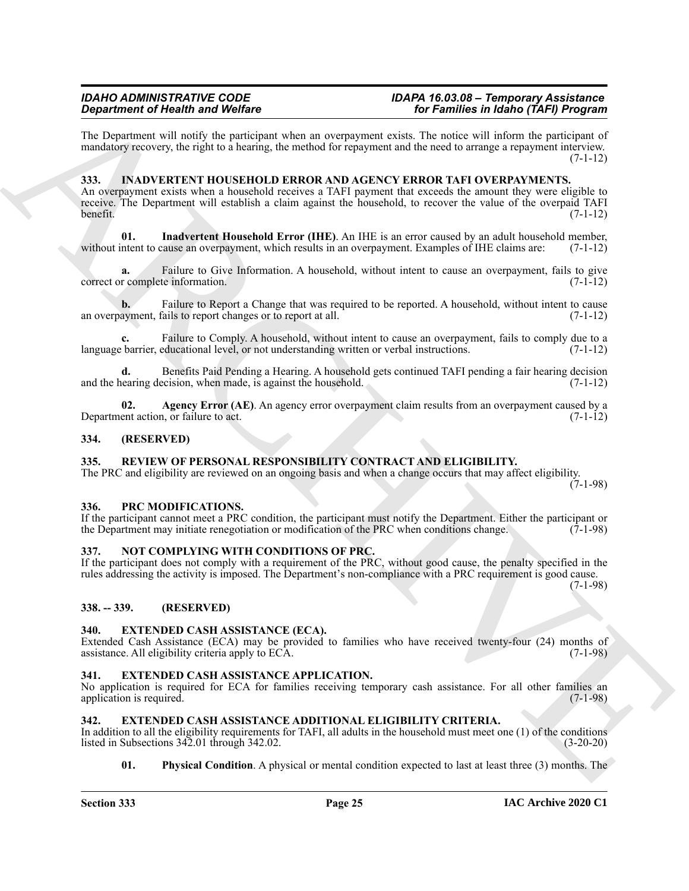The Department will notify the participant when an overpayment exists. The notice will inform the participant of mandatory recovery, the right to a hearing, the method for repayment and the need to arrange a repayment interview.  $(7-1-12)$ 

#### <span id="page-24-13"></span><span id="page-24-0"></span>**333. INADVERTENT HOUSEHOLD ERROR AND AGENCY ERROR TAFI OVERPAYMENTS.**

**Experiment of Neumann with Wolfrey<br>
The Postmann and Wolfre Consumer when an average must also be from the framework of Postmann and Society Consumer and Society Consumer Society Consumer Society Consumer Society Consum** An overpayment exists when a household receives a TAFI payment that exceeds the amount they were eligible to receive. The Department will establish a claim against the household, to recover the value of the overpaid TAFI benefit. (7-1-12)

<span id="page-24-15"></span>**01. Inadvertent Household Error (IHE)**. An IHE is an error caused by an adult household member, without intent to cause an overpayment, which results in an overpayment. Examples of IHE claims are: (7-1-12)

**a.** Failure to Give Information. A household, without intent to cause an overpayment, fails to give correct or complete information. (7-1-12)

**b.** Failure to Report a Change that was required to be reported. A household, without intent to cause ayment, fails to report changes or to report at all.  $(7-1-12)$ an overpayment, fails to report changes or to report at all.

Failure to Comply. A household, without intent to cause an overpayment, fails to comply due to a language barrier, educational level, or not understanding written or verbal instructions. (7-1-12)

**d.** Benefits Paid Pending a Hearing. A household gets continued TAFI pending a fair hearing decision and the hearing decision, when made, is against the household.  $(7-1-12)$ 

<span id="page-24-14"></span>**02. Agency Error (AE)**. An agency error overpayment claim results from an overpayment caused by a Department action, or failure to act.

#### <span id="page-24-1"></span>**334. (RESERVED)**

#### <span id="page-24-18"></span><span id="page-24-2"></span>**335. REVIEW OF PERSONAL RESPONSIBILITY CONTRACT AND ELIGIBILITY.**

The PRC and eligibility are reviewed on an ongoing basis and when a change occurs that may affect eligibility.  $(7-1-98)$ 

#### <span id="page-24-17"></span><span id="page-24-3"></span>**336. PRC MODIFICATIONS.**

If the participant cannot meet a PRC condition, the participant must notify the Department. Either the participant or the Department may initiate renegotiation or modification of the PRC when conditions change. (7-1-98)

#### <span id="page-24-16"></span><span id="page-24-4"></span>**337. NOT COMPLYING WITH CONDITIONS OF PRC.**

If the participant does not comply with a requirement of the PRC, without good cause, the penalty specified in the rules addressing the activity is imposed. The Department's non-compliance with a PRC requirement is good cause. (7-1-98)

#### <span id="page-24-5"></span>**338. -- 339. (RESERVED)**

#### <span id="page-24-9"></span><span id="page-24-6"></span>**340. EXTENDED CASH ASSISTANCE (ECA).**

Extended Cash Assistance (ECA) may be provided to families who have received twenty-four (24) months of assistance. All eligibility criteria apply to ECA. (7-1-98)

#### <span id="page-24-12"></span><span id="page-24-7"></span>**341. EXTENDED CASH ASSISTANCE APPLICATION.**

No application is required for ECA for families receiving temporary cash assistance. For all other families an application is required. (7-1-98)

#### <span id="page-24-10"></span><span id="page-24-8"></span>**342. EXTENDED CASH ASSISTANCE ADDITIONAL ELIGIBILITY CRITERIA.**

In addition to all the eligibility requirements for TAFI, all adults in the household must meet one (1) of the conditions listed in Subsections 342.01 through 342.02. listed in Subsections  $342.01$  through  $342.02$ .

<span id="page-24-11"></span>**01.** Physical Condition. A physical or mental condition expected to last at least three (3) months. The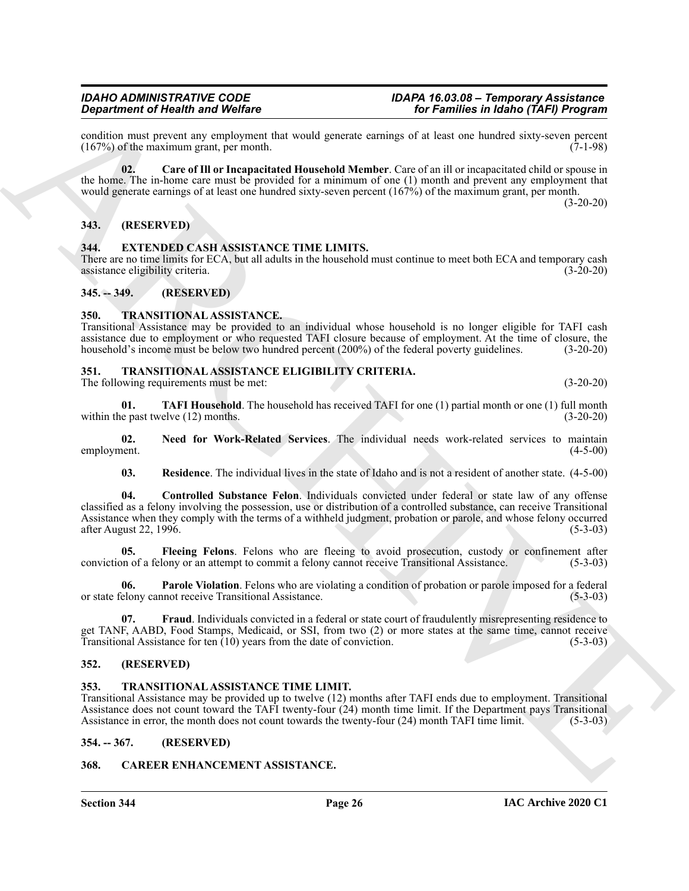condition must prevent any employment that would generate earnings of at least one hundred sixty-seven percent (167%) of the maximum grant, per month.  $(167%)$  of the maximum grant, per month.

**02. Care of Ill or Incapacitated Household Member**. Care of an ill or incapacitated child or spouse in the home. The in-home care must be provided for a minimum of one (1) month and prevent any employment that would generate earnings of at least one hundred sixty-seven percent (167%) of the maximum grant, per month. (3-20-20)

<span id="page-25-0"></span>**343. (RESERVED)**

#### <span id="page-25-10"></span><span id="page-25-1"></span>**344. EXTENDED CASH ASSISTANCE TIME LIMITS.**

There are no time limits for ECA, but all adults in the household must continue to meet both ECA and temporary cash<br>(3-20-20) (3-20-20) assistance eligibility criteria.

<span id="page-25-2"></span>**345. -- 349. (RESERVED)**

#### <span id="page-25-19"></span><span id="page-25-3"></span>**350. TRANSITIONAL ASSISTANCE.**

Transitional Assistance may be provided to an individual whose household is no longer eligible for TAFI cash assistance due to employment or who requested TAFI closure because of employment. At the time of closure, the household's income must be below two hundred percent (200%) of the federal poverty guidelines. (3-20-20)

### <span id="page-25-11"></span><span id="page-25-4"></span>**351. TRANSITIONAL ASSISTANCE ELIGIBILITY CRITERIA.**

The following requirements must be met: (3-20-20)

**01. TAFI Household**. The household has received TAFI for one (1) partial month or one (1) full month e past twelve (12) months. (3-20-20) within the past twelve  $(12)$  months.

**02.** Need for Work-Related Services. The individual needs work-related services to maintain employment. (4-5-00) employment. (4-5-00)

<span id="page-25-17"></span><span id="page-25-15"></span><span id="page-25-13"></span><span id="page-25-12"></span>**03. Residence**. The individual lives in the state of Idaho and is not a resident of another state. (4-5-00)

Graditent of Health and Wolfer<br>
(34) Washen until provide the world-health showed applied to the state of the state of the state of the state<br>
(35) 50 (a) Care of HI or interactions that showed applied the state of the st **04. Controlled Substance Felon**. Individuals convicted under federal or state law of any offense classified as a felony involving the possession, use or distribution of a controlled substance, can receive Transitional Assistance when they comply with the terms of a withheld judgment, probation or parole, and whose felony occurred after August 22, 1996. (5-3-03)

**05. Fleeing Felons**. Felons who are fleeing to avoid prosecution, custody or confinement after conviction of a felony or an attempt to commit a felony cannot receive Transitional Assistance. (5-3-03)

<span id="page-25-16"></span>**06. Parole Violation**. Felons who are violating a condition of probation or parole imposed for a federal or state felony cannot receive Transitional Assistance. (5-3-03)

<span id="page-25-14"></span>**07. Fraud**. Individuals convicted in a federal or state court of fraudulently misrepresenting residence to get TANF, AABD, Food Stamps, Medicaid, or SSI, from two (2) or more states at the same time, cannot receive Transitional Assistance for ten (10) years from the date of conviction. (5-3-03)

#### <span id="page-25-5"></span>**352. (RESERVED)**

#### <span id="page-25-18"></span><span id="page-25-6"></span>**353. TRANSITIONAL ASSISTANCE TIME LIMIT.**

Transitional Assistance may be provided up to twelve (12) months after TAFI ends due to employment. Transitional Assistance does not count toward the TAFI twenty-four (24) month time limit. If the Department pays Transitional Assistance in error, the month does not count towards the twenty-four (24) month TAFI time limit. (5-3-03)

<span id="page-25-7"></span>**354. -- 367. (RESERVED)**

#### <span id="page-25-9"></span><span id="page-25-8"></span>**368. CAREER ENHANCEMENT ASSISTANCE.**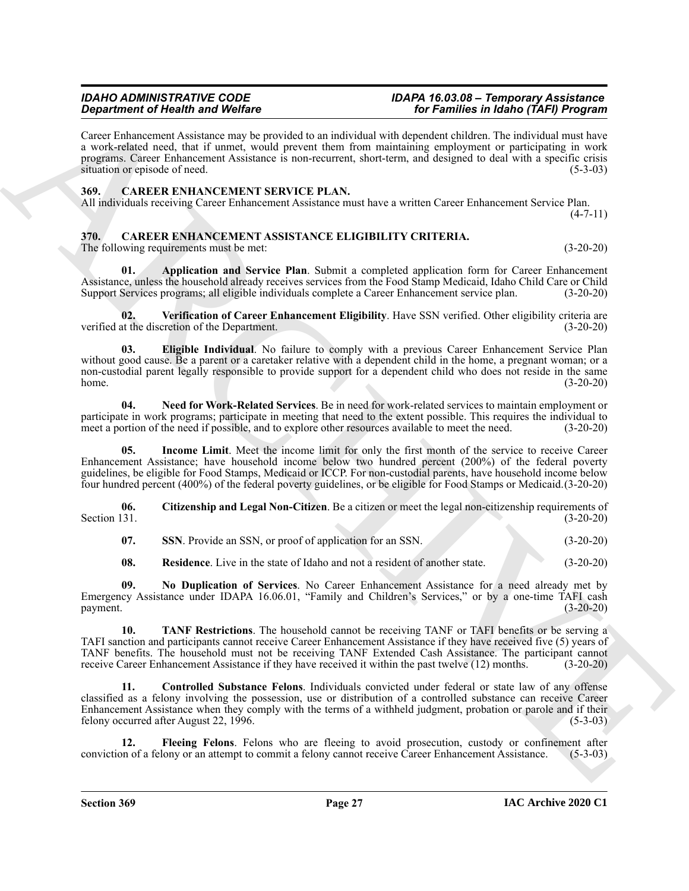## *Department of Health and Welfare for Families in Idaho (TAFI) Program*

Career Enhancement Assistance may be provided to an individual with dependent children. The individual must have a work-related need, that if unmet, would prevent them from maintaining employment or participating in work programs. Career Enhancement Assistance is non-recurrent, short-term, and designed to deal with a specific crisis situation or episode of need. (5-3-03)

#### <span id="page-26-14"></span><span id="page-26-0"></span>**369. CAREER ENHANCEMENT SERVICE PLAN.**

All individuals receiving Career Enhancement Assistance must have a written Career Enhancement Service Plan.  $(4 - 7 - 11)$ 

#### <span id="page-26-2"></span><span id="page-26-1"></span>**370. CAREER ENHANCEMENT ASSISTANCE ELIGIBILITY CRITERIA.** The following requirements must be met: (3-20-20)

<span id="page-26-3"></span>**01. Application and Service Plan**. Submit a completed application form for Career Enhancement Assistance, unless the household already receives services from the Food Stamp Medicaid, Idaho Child Care or Child Support Services programs; all eligible individuals complete a Career Enhancement service plan. (3-20-20)

<span id="page-26-13"></span><span id="page-26-6"></span>**02. Verification of Career Enhancement Eligibility**. Have SSN verified. Other eligibility criteria are verified at the discretion of the Department. (3-20-20)

**Signal method of the United Velocity and Velocity and the United Velocity Characteristics in the showing the stationary of the Characteristics in the Characteristics in the stationary of the Characteristics in the statio 03. Eligible Individual**. No failure to comply with a previous Career Enhancement Service Plan without good cause. Be a parent or a caretaker relative with a dependent child in the home, a pregnant woman; or a non-custodial parent legally responsible to provide support for a dependent child who does not reside in the same<br>(3-20-20) home. (3-20-20)

<span id="page-26-9"></span>**04. Need for Work-Related Services**. Be in need for work-related services to maintain employment or participate in work programs; participate in meeting that need to the extent possible. This requires the individual to meet a portion of the need if possible, and to explore other resources available to meet the need. (3-20-20)

<span id="page-26-8"></span>**05. Income Limit**. Meet the income limit for only the first month of the service to receive Career Enhancement Assistance; have household income below two hundred percent (200%) of the federal poverty guidelines, be eligible for Food Stamps, Medicaid or ICCP. For non-custodial parents, have household income below four hundred percent (400%) of the federal poverty guidelines, or be eligible for Food Stamps or Medicaid.(3-20-20)

**06.** Citizenship and Legal Non-Citizen. Be a citizen or meet the legal non-citizenship requirements of Section 131. (3-20-20) Section 131. (3-20-20)

<span id="page-26-11"></span><span id="page-26-4"></span>**07.** SSN. Provide an SSN, or proof of application for an SSN. (3-20-20)

<span id="page-26-12"></span><span id="page-26-10"></span>**08. Residence**. Live in the state of Idaho and not a resident of another state. (3-20-20)

**09. No Duplication of Services**. No Career Enhancement Assistance for a need already met by Emergency Assistance under IDAPA 16.06.01, "Family and Children's Services," or by a one-time TAFI cash payment. (3-20-20)

**10. TANF Restrictions**. The household cannot be receiving TANF or TAFI benefits or be serving a TAFI sanction and participants cannot receive Career Enhancement Assistance if they have received five (5) years of TANF benefits. The household must not be receiving TANF Extended Cash Assistance. The participant cannot receive Career Enhancement Assistance if they have received it within the past twelve (12) months. (3-20-20)

<span id="page-26-5"></span>**11. Controlled Substance Felons**. Individuals convicted under federal or state law of any offense classified as a felony involving the possession, use or distribution of a controlled substance can receive Career Enhancement Assistance when they comply with the terms of a withheld judgment, probation or parole and if their felony occurred after August 22, 1996.  $(5-3-03)$ 

<span id="page-26-7"></span>**12. Fleeing Felons**. Felons who are fleeing to avoid prosecution, custody or confinement after conviction of a felony or an attempt to commit a felony cannot receive Career Enhancement Assistance. (5-3-03)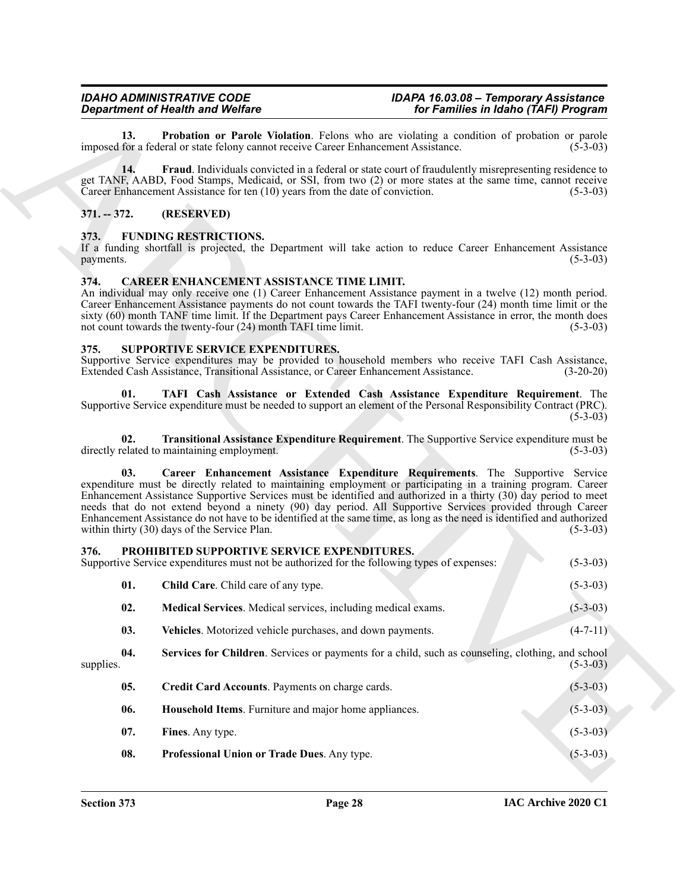<span id="page-27-6"></span>**13. Probation or Parole Violation**. Felons who are violating a condition of probation or parole for a federal or state felony cannot receive Career Enhancement Assistance. (5-3-03) imposed for a federal or state felony cannot receive Career Enhancement Assistance.

<span id="page-27-5"></span>**14. Fraud**. Individuals convicted in a federal or state court of fraudulently misrepresenting residence to get TANF, AABD, Food Stamps, Medicaid, or SSI, from two (2) or more states at the same time, cannot receive Career Enhancement Assistance for ten (10) years from the date of conviction. (5-3-03)

#### <span id="page-27-0"></span>**371. -- 372. (RESERVED)**

#### <span id="page-27-8"></span><span id="page-27-1"></span>**373. FUNDING RESTRICTIONS.**

If a funding shortfall is projected, the Department will take action to reduce Career Enhancement Assistance payments. (5-3-03)

#### <span id="page-27-7"></span><span id="page-27-2"></span>**374. CAREER ENHANCEMENT ASSISTANCE TIME LIMIT.**

An individual may only receive one (1) Career Enhancement Assistance payment in a twelve (12) month period. Career Enhancement Assistance payments do not count towards the TAFI twenty-four (24) month time limit or the sixty (60) month TANF time limit. If the Department pays Career Enhancement Assistance in error, the month does not count towards the twenty-four (24) month TAFI time limit. (5-3-03)

#### <span id="page-27-18"></span><span id="page-27-3"></span>**375. SUPPORTIVE SERVICE EXPENDITURES.**

Supportive Service expenditures may be provided to household members who receive TAFI Cash Assistance, Extended Cash Assistance, Transitional Assistance, or Career Enhancement Assistance. (3-20-20) Extended Cash Assistance, Transitional Assistance, or Career Enhancement Assistance.

<span id="page-27-20"></span>**01. TAFI Cash Assistance or Extended Cash Assistance Expenditure Requirement**. The Supportive Service expenditure must be needed to support an element of the Personal Responsibility Contract (PRC).  $(5-3-03)$ 

<span id="page-27-21"></span>**02. Transitional Assistance Expenditure Requirement**. The Supportive Service expenditure must be directly related to maintaining employment. (5-3-03)

<span id="page-27-19"></span>**03. Career Enhancement Assistance Expenditure Requirements**. The Supportive Service expenditure must be directly related to maintaining employment or participating in a training program. Career Enhancement Assistance Supportive Services must be identified and authorized in a thirty (30) day period to meet needs that do not extend beyond a ninety (90) day period. All Supportive Services provided through Career Enhancement Assistance do not have to be identified at the same time, as long as the need is identified and authorized within thirty (30) days of the Service Plan. (5-3-03)

#### <span id="page-27-17"></span><span id="page-27-16"></span><span id="page-27-15"></span><span id="page-27-14"></span><span id="page-27-13"></span><span id="page-27-12"></span><span id="page-27-11"></span><span id="page-27-10"></span><span id="page-27-9"></span><span id="page-27-4"></span>**376. PROHIBITED SUPPORTIVE SERVICE EXPENDITURES.** Supportive Service expenditures must not be authorized for the following types of expenses: (5-3-03)

**Equivalent of Health and Violentia**<br> **Equivalent State Transform of Parish China Control in the main state in the state of the China China China China<br>
IEQUISITY THE CHINA CHINE CONTRACT CONTRACT CONTRACT CONTRACT CONTRA 01.** Child Care. Child care of any type. (5-3-03) **02. Medical Services**. Medical services, including medical exams. (5-3-03) **03.** Vehicles. Motorized vehicle purchases, and down payments. (4-7-11) **04. Services for Children**. Services or payments for a child, such as counseling, clothing, and school supplies.  $(5-3-03)$ **05. Credit Card Accounts**. Payments on charge cards. (5-3-03) **06. Household Items**. Furniture and major home appliances. (5-3-03) **07. Fines**. Any type. (5-3-03) **08. Professional Union or Trade Dues**. Any type. (5-3-03)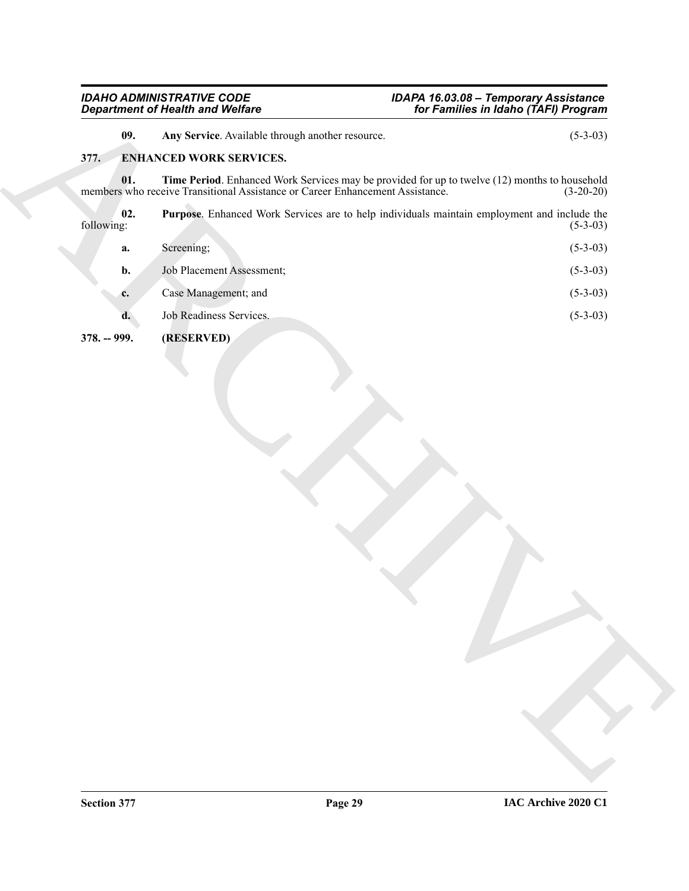### <span id="page-28-5"></span><span id="page-28-4"></span><span id="page-28-3"></span><span id="page-28-2"></span><span id="page-28-1"></span><span id="page-28-0"></span>**377. ENHANCED WORK SERVICES.**

|                   | <b>Department of Health and Welfare</b>                                                                                                                                        | for Families in Idaho (TAFI) Program |  |
|-------------------|--------------------------------------------------------------------------------------------------------------------------------------------------------------------------------|--------------------------------------|--|
| 09.               | Any Service. Available through another resource.                                                                                                                               | $(5-3-03)$                           |  |
| 377.              | <b>ENHANCED WORK SERVICES.</b>                                                                                                                                                 |                                      |  |
| 01.               | Time Period. Enhanced Work Services may be provided for up to twelve (12) months to household<br>members who receive Transitional Assistance or Career Enhancement Assistance. | $(3-20-20)$                          |  |
| 02.<br>following: | Purpose. Enhanced Work Services are to help individuals maintain employment and include the                                                                                    | $(5-3-03)$                           |  |
| a.                | Screening;                                                                                                                                                                     | $(5-3-03)$                           |  |
| b.                | Job Placement Assessment;                                                                                                                                                      | $(5-3-03)$                           |  |
| c.                | Case Management; and                                                                                                                                                           | $(5-3-03)$                           |  |
| d.                | Job Readiness Services.                                                                                                                                                        | $(5-3-03)$                           |  |
|                   |                                                                                                                                                                                |                                      |  |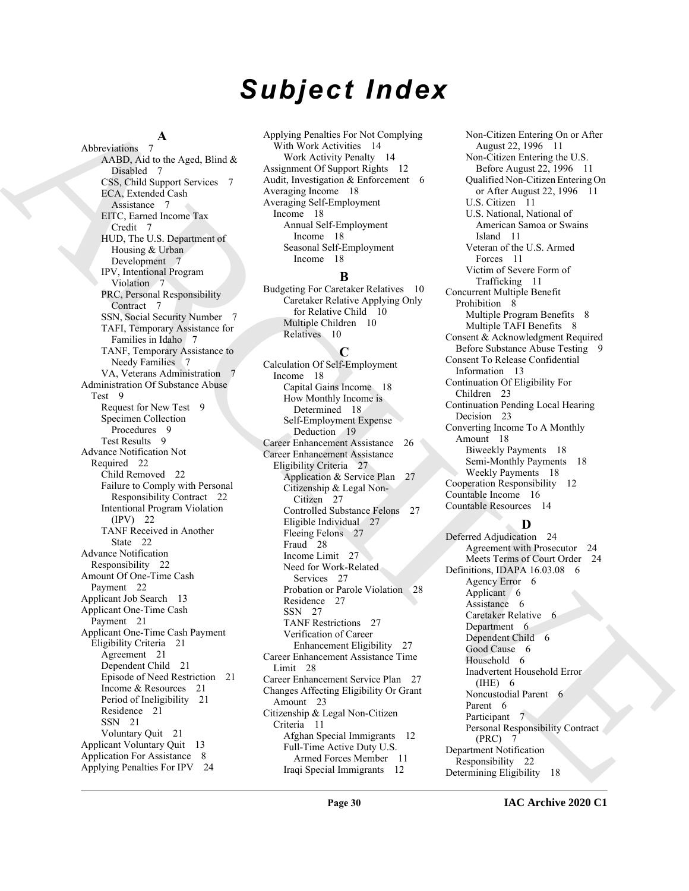# *Subject Index*

#### **A**

Also contains A regimental containing the set of the set of the set of the set of the set of the set of the set of the set of the set of the set of the set of the set of the set of the set of the set of the set of the set Abbreviations 7 AABD, Aid to the Aged, Blind & Disabled 7 CSS, Child Support Services 7 ECA, Extended Cash Assistance 7 EITC, Earned Income Tax Credit 7 HUD, The U.S. Department of Housing & Urban Development 7 IPV, Intentional Program Violation 7 PRC, Personal Responsibility Contract<sub>7</sub> SSN, Social Security Number 7 TAFI, Temporary Assistance for Families in Idaho 7 TANF, Temporary Assistance to Needy Families 7 VA, Veterans Administration 7 Administration Of Substance Abuse Test 9 Request for New Test 9 Specimen Collection Procedures 9 Test Results 9 Advance Notification Not Required 22 Child Removed 22 Failure to Comply with Personal Responsibility Contract 22 Intentional Program Violation (IPV) 22 TANF Received in Another State 22 Advance Notification Responsibility 22 Amount Of One-Time Cash Payment 22 Applicant Job Search 13 Applicant One-Time Cash Payment 21 Applicant One-Time Cash Payment Eligibility Criteria 21 Agreement 21 Dependent Child 21 Episode of Need Restriction 21 Income & Resources 21 Period of Ineligibility 21 Residence 21 SSN 21 Voluntary Quit 21 Applicant Voluntary Quit 13 Application For Assistance 8 Applying Penalties For IPV 24

Applying Penalties For Not Complying With Work Activities 14 Work Activity Penalty 14 Assignment Of Support Rights 12 Audit, Investigation & Enforcement 6 Averaging Income 18 Averaging Self-Employment Income 18 Annual Self-Employment Income 18 Seasonal Self-Employment Income 18

#### **B**

Budgeting For Caretaker Relatives 10 Caretaker Relative Applying Only for Relative Child 10 Multiple Children 10 Relatives 10

#### **C**

Calculation Of Self-Employment Income 18 Capital Gains Income 18 How Monthly Income is Determined 18 Self-Employment Expense Deduction 19 Career Enhancement Assistance 26 Career Enhancement Assistance Eligibility Criteria 27 Application & Service Plan 27 Citizenship & Legal Non-Citizen 27 Controlled Substance Felons 27 Eligible Individual 27 Fleeing Felons 27 Fraud 28 Income Limit 27 Need for Work-Related Services 27 Probation or Parole Violation 28 Residence 27 SSN 27 TANF Restrictions 27 Verification of Career Enhancement Eligibility 27 Career Enhancement Assistance Time Limit 28 Career Enhancement Service Plan 27 Changes Affecting Eligibility Or Grant Amount 23 Citizenship & Legal Non-Citizen Criteria 11 Afghan Special Immigrants 12 Full-Time Active Duty U.S. Armed Forces Member 11 Iraqi Special Immigrants 12

Non-Citizen Entering On or After August 22, 1996 11 Non-Citizen Entering the U.S. Before August 22, 1996 11 Qualified Non-Citizen Entering On or After August 22, 1996 11 U.S. Citizen 11 U.S. National, National of American Samoa or Swains Island 11 Veteran of the U.S. Armed Forces 11 Victim of Severe Form of Trafficking 11 Concurrent Multiple Benefit Prohibition 8 Multiple Program Benefits 8 Multiple TAFI Benefits 8 Consent & Acknowledgment Required Before Substance Abuse Testing 9 Consent To Release Confidential Information 13 Continuation Of Eligibility For Children 23 Continuation Pending Local Hearing Decision 23 Converting Income To A Monthly Amount 18 Biweekly Payments 18 Semi-Monthly Payments 18 Weekly Payments 18 Cooperation Responsibility 12 Countable Income 16 Countable Resources 14

### **D**

Deferred Adjudication 24 Agreement with Prosecutor 24 Meets Terms of Court Order 24 Definitions, IDAPA 16.03.08 6 Agency Error 6 Applicant 6 Assistance 6 Caretaker Relative 6 Department 6 Dependent Child 6 Good Cause 6 Household 6 Inadvertent Household Error (IHE) 6 Noncustodial Parent 6 Parent 6 Participant 7 Personal Responsibility Contract (PRC) 7 Department Notification Responsibility 22 Determining Eligibility 18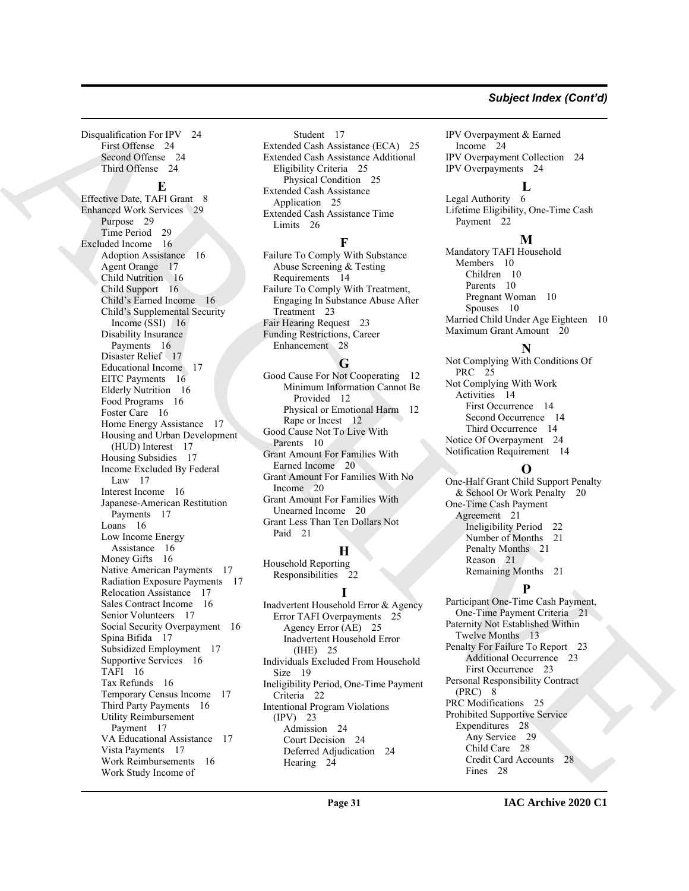#### *Subject Index (Cont'd)*

Disqualification For IPV 24 First Offense 24 Second Offense 24 Third Offense 24

#### **E**

Demokratics by the control of the control of the control of the control of the control of the control of the control of the control of the control of the control of the control of the control of the control of the control Effective Date, TAFI Grant 8 Enhanced Work Services 29 Purpose 29 Time Period 29 Excluded Income 16 Adoption Assistance 16 Agent Orange 17 Child Nutrition 16 Child Support 16 Child's Earned Income 16 Child's Supplemental Security Income (SSI) 16 Disability Insurance Payments 16 Disaster Relief 17 Educational Income 17 EITC Payments 16 Elderly Nutrition 16 Food Programs 16 Foster Care 16 Home Energy Assistance 17 Housing and Urban Development (HUD) Interest 17 Housing Subsidies 17 Income Excluded By Federal Law 17 Interest Income 16 Japanese-American Restitution Payments 17 Loans 16 Low Income Energy Assistance 16 Money Gifts 16 Native American Payments 17 Radiation Exposure Payments 17 Relocation Assistance 17 Sales Contract Income 16 Senior Volunteers 17 Social Security Overpayment 16 Spina Bifida 17 Subsidized Employment 17 Supportive Services 16 TAFI 16 Tax Refunds 16 Temporary Census Income 17 Third Party Payments 16 Utility Reimbursement Payment 17 VA Educational Assistance 17 Vista Payments 17 Work Reimbursements 16 Work Study Income of

Student 17 Extended Cash Assistance (ECA) 25 Extended Cash Assistance Additional Eligibility Criteria 25 Physical Condition 25 Extended Cash Assistance Application 25 Extended Cash Assistance Time Limits 26

#### **F**

Failure To Comply With Substance Abuse Screening & Testing Requirements 14 Failure To Comply With Treatment, Engaging In Substance Abuse After Treatment 23 Fair Hearing Request 23 Funding Restrictions, Career Enhancement 28

#### **G**

Good Cause For Not Cooperating 12 Minimum Information Cannot Be Provided 12 Physical or Emotional Harm 12 Rape or Incest 12 Good Cause Not To Live With Parents 10 Grant Amount For Families With Earned Income 20 Grant Amount For Families With No Income 20 Grant Amount For Families With Unearned Income 20 Grant Less Than Ten Dollars Not Paid 21

### **H**

Household Reporting Responsibilities 22

#### **I**

Inadvertent Household Error & Agency Error TAFI Overpayments 25 Agency Error (AE) 25 Inadvertent Household Error (IHE) 25 Individuals Excluded From Household Size 19 Ineligibility Period, One-Time Payment Criteria 22 Intentional Program Violations (IPV) 23 Admission 24 Court Decision 24 Deferred Adjudication 24 Hearing 24

IPV Overpayment & Earned Income 24 IPV Overpayment Collection 24 IPV Overpayments 24

### **L**

Legal Authority 6 Lifetime Eligibility, One-Time Cash Payment 22

#### **M**

Mandatory TAFI Household Members 10 Children 10 Parents 10 Pregnant Woman 10 Spouses 10 Married Child Under Age Eighteen 10 Maximum Grant Amount 20

### **N**

Not Complying With Conditions Of PRC 25 Not Complying With Work Activities 14 First Occurrence 14 Second Occurrence 14 Third Occurrence 14 Notice Of Overpayment 24 Notification Requirement 14

### **O**

One-Half Grant Child Support Penalty & School Or Work Penalty 20 One-Time Cash Payment Agreement 21 Ineligibility Period 22 Number of Months 21 Penalty Months 21 Reason 21 Remaining Months 21

#### **P**

Participant One-Time Cash Payment, One-Time Payment Criteria 21 Paternity Not Established Within Twelve Months 13 Penalty For Failure To Report 23 Additional Occurrence 23 First Occurrence 23 Personal Responsibility Contract  $(PRC)$  8 PRC Modifications 25 Prohibited Supportive Service Expenditures 28 Any Service 29 Child Care 28 Credit Card Accounts 28 Fines 28